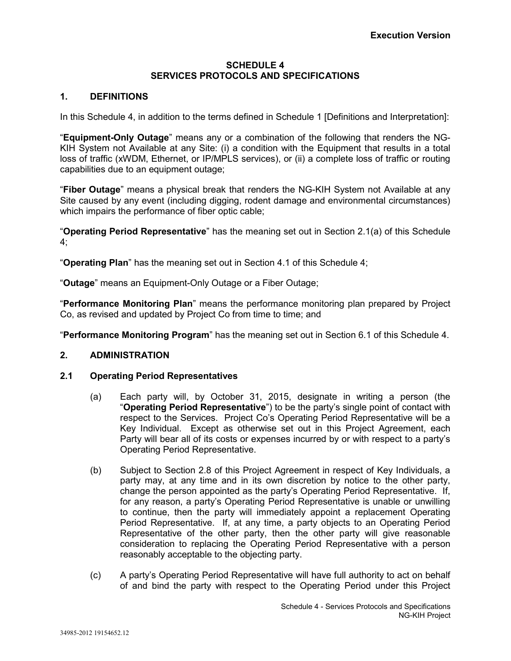## **SCHEDULE 4 SERVICES PROTOCOLS AND SPECIFICATIONS**

## **1. DEFINITIONS**

In this Schedule 4, in addition to the terms defined in Schedule 1 [Definitions and Interpretation]:

"**Equipment-Only Outage**" means any or a combination of the following that renders the NG-KIH System not Available at any Site: (i) a condition with the Equipment that results in a total loss of traffic (xWDM, Ethernet, or IP/MPLS services), or (ii) a complete loss of traffic or routing capabilities due to an equipment outage;

"**Fiber Outage**" means a physical break that renders the NG-KIH System not Available at any Site caused by any event (including digging, rodent damage and environmental circumstances) which impairs the performance of fiber optic cable;

"**Operating Period Representative**" has the meaning set out in Section 2.1(a) of this Schedule 4;

"**Operating Plan**" has the meaning set out in Section 4.1 of this Schedule 4;

"**Outage**" means an Equipment-Only Outage or a Fiber Outage;

"**Performance Monitoring Plan**" means the performance monitoring plan prepared by Project Co, as revised and updated by Project Co from time to time; and

"**Performance Monitoring Program**" has the meaning set out in Section 6.1 of this Schedule 4.

#### **2. ADMINISTRATION**

#### **2.1 Operating Period Representatives**

- (a) Each party will, by October 31, 2015, designate in writing a person (the "**Operating Period Representative**") to be the party's single point of contact with respect to the Services. Project Co's Operating Period Representative will be a Key Individual. Except as otherwise set out in this Project Agreement, each Party will bear all of its costs or expenses incurred by or with respect to a party's Operating Period Representative.
- (b) Subject to Section 2.8 of this Project Agreement in respect of Key Individuals, a party may, at any time and in its own discretion by notice to the other party, change the person appointed as the party's Operating Period Representative. If, for any reason, a party's Operating Period Representative is unable or unwilling to continue, then the party will immediately appoint a replacement Operating Period Representative. If, at any time, a party objects to an Operating Period Representative of the other party, then the other party will give reasonable consideration to replacing the Operating Period Representative with a person reasonably acceptable to the objecting party.
- (c) A party's Operating Period Representative will have full authority to act on behalf of and bind the party with respect to the Operating Period under this Project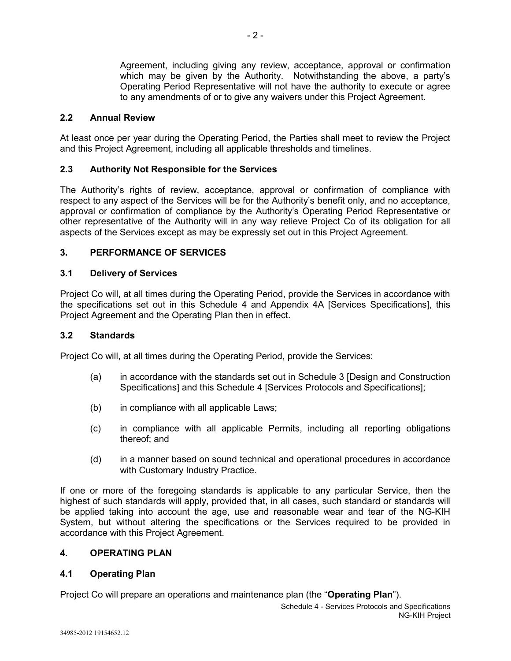Agreement, including giving any review, acceptance, approval or confirmation which may be given by the Authority. Notwithstanding the above, a party's Operating Period Representative will not have the authority to execute or agree to any amendments of or to give any waivers under this Project Agreement.

## **2.2 Annual Review**

At least once per year during the Operating Period, the Parties shall meet to review the Project and this Project Agreement, including all applicable thresholds and timelines.

## **2.3 Authority Not Responsible for the Services**

The Authority's rights of review, acceptance, approval or confirmation of compliance with respect to any aspect of the Services will be for the Authority's benefit only, and no acceptance, approval or confirmation of compliance by the Authority's Operating Period Representative or other representative of the Authority will in any way relieve Project Co of its obligation for all aspects of the Services except as may be expressly set out in this Project Agreement.

## **3. PERFORMANCE OF SERVICES**

#### **3.1 Delivery of Services**

Project Co will, at all times during the Operating Period, provide the Services in accordance with the specifications set out in this Schedule 4 and Appendix 4A [Services Specifications], this Project Agreement and the Operating Plan then in effect.

#### **3.2 Standards**

Project Co will, at all times during the Operating Period, provide the Services:

- (a) in accordance with the standards set out in Schedule 3 [Design and Construction Specifications] and this Schedule 4 [Services Protocols and Specifications];
- (b) in compliance with all applicable Laws;
- (c) in compliance with all applicable Permits, including all reporting obligations thereof; and
- (d) in a manner based on sound technical and operational procedures in accordance with Customary Industry Practice.

If one or more of the foregoing standards is applicable to any particular Service, then the highest of such standards will apply, provided that, in all cases, such standard or standards will be applied taking into account the age, use and reasonable wear and tear of the NG-KIH System, but without altering the specifications or the Services required to be provided in accordance with this Project Agreement.

#### **4. OPERATING PLAN**

## **4.1 Operating Plan**

Project Co will prepare an operations and maintenance plan (the "**Operating Plan**").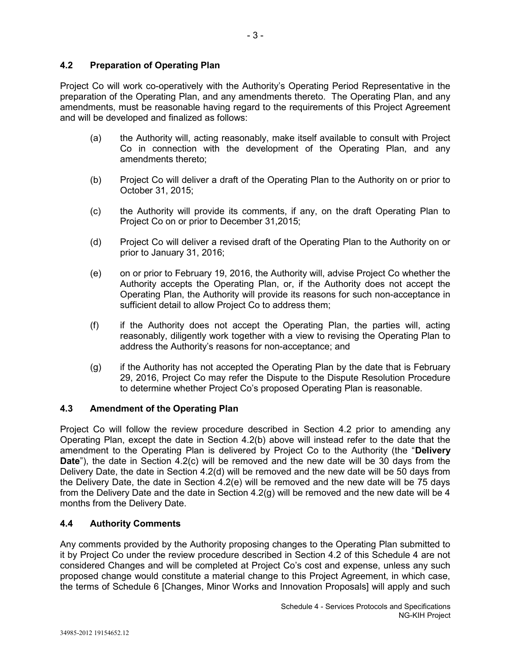## **4.2 Preparation of Operating Plan**

Project Co will work co-operatively with the Authority's Operating Period Representative in the preparation of the Operating Plan, and any amendments thereto. The Operating Plan, and any amendments, must be reasonable having regard to the requirements of this Project Agreement and will be developed and finalized as follows:

- (a) the Authority will, acting reasonably, make itself available to consult with Project Co in connection with the development of the Operating Plan, and any amendments thereto;
- (b) Project Co will deliver a draft of the Operating Plan to the Authority on or prior to October 31, 2015;
- (c) the Authority will provide its comments, if any, on the draft Operating Plan to Project Co on or prior to December 31,2015;
- (d) Project Co will deliver a revised draft of the Operating Plan to the Authority on or prior to January 31, 2016;
- (e) on or prior to February 19, 2016, the Authority will, advise Project Co whether the Authority accepts the Operating Plan, or, if the Authority does not accept the Operating Plan, the Authority will provide its reasons for such non-acceptance in sufficient detail to allow Project Co to address them;
- (f) if the Authority does not accept the Operating Plan, the parties will, acting reasonably, diligently work together with a view to revising the Operating Plan to address the Authority's reasons for non-acceptance; and
- (g) if the Authority has not accepted the Operating Plan by the date that is February 29, 2016, Project Co may refer the Dispute to the Dispute Resolution Procedure to determine whether Project Co's proposed Operating Plan is reasonable.

## **4.3 Amendment of the Operating Plan**

Project Co will follow the review procedure described in Section 4.2 prior to amending any Operating Plan, except the date in Section 4.2(b) above will instead refer to the date that the amendment to the Operating Plan is delivered by Project Co to the Authority (the "**Delivery Date**"), the date in Section 4.2(c) will be removed and the new date will be 30 days from the Delivery Date, the date in Section 4.2(d) will be removed and the new date will be 50 days from the Delivery Date, the date in Section 4.2(e) will be removed and the new date will be 75 days from the Delivery Date and the date in Section 4.2(g) will be removed and the new date will be 4 months from the Delivery Date.

## **4.4 Authority Comments**

Any comments provided by the Authority proposing changes to the Operating Plan submitted to it by Project Co under the review procedure described in Section 4.2 of this Schedule 4 are not considered Changes and will be completed at Project Co's cost and expense, unless any such proposed change would constitute a material change to this Project Agreement, in which case, the terms of Schedule 6 [Changes, Minor Works and Innovation Proposals] will apply and such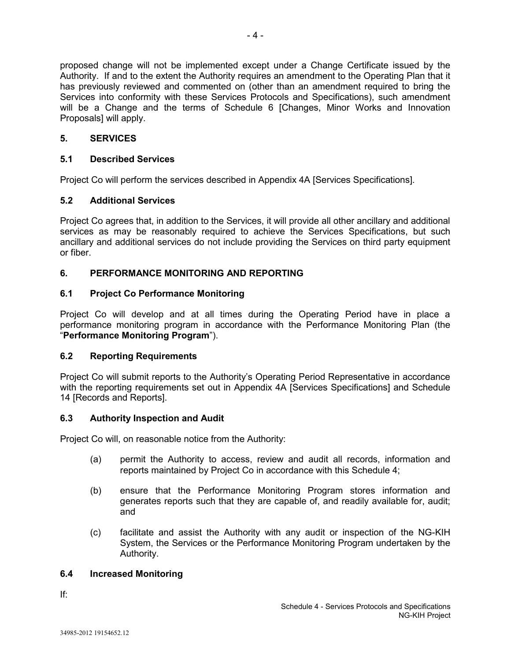proposed change will not be implemented except under a Change Certificate issued by the Authority. If and to the extent the Authority requires an amendment to the Operating Plan that it has previously reviewed and commented on (other than an amendment required to bring the Services into conformity with these Services Protocols and Specifications), such amendment will be a Change and the terms of Schedule 6 [Changes, Minor Works and Innovation Proposals] will apply.

# **5. SERVICES**

## **5.1 Described Services**

Project Co will perform the services described in Appendix 4A [Services Specifications].

## **5.2 Additional Services**

Project Co agrees that, in addition to the Services, it will provide all other ancillary and additional services as may be reasonably required to achieve the Services Specifications, but such ancillary and additional services do not include providing the Services on third party equipment or fiber.

# **6. PERFORMANCE MONITORING AND REPORTING**

# **6.1 Project Co Performance Monitoring**

Project Co will develop and at all times during the Operating Period have in place a performance monitoring program in accordance with the Performance Monitoring Plan (the "**Performance Monitoring Program**").

## **6.2 Reporting Requirements**

Project Co will submit reports to the Authority's Operating Period Representative in accordance with the reporting requirements set out in Appendix 4A [Services Specifications] and Schedule 14 [Records and Reports].

## **6.3 Authority Inspection and Audit**

Project Co will, on reasonable notice from the Authority:

- (a) permit the Authority to access, review and audit all records, information and reports maintained by Project Co in accordance with this Schedule 4;
- (b) ensure that the Performance Monitoring Program stores information and generates reports such that they are capable of, and readily available for, audit; and
- (c) facilitate and assist the Authority with any audit or inspection of the NG-KIH System, the Services or the Performance Monitoring Program undertaken by the Authority.

## **6.4 Increased Monitoring**

If: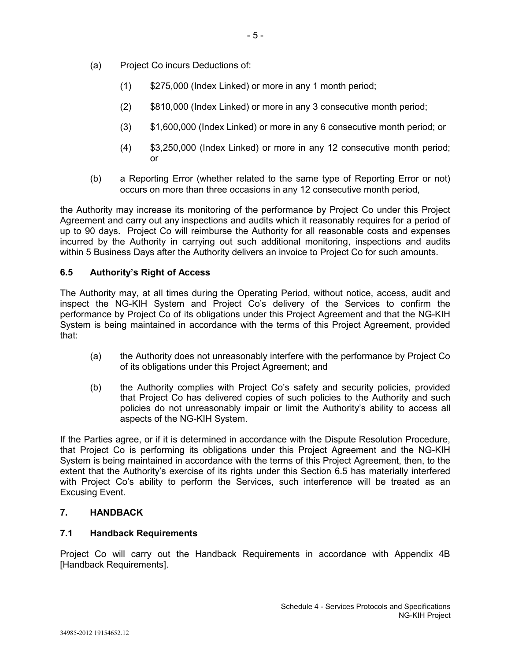- (a) Project Co incurs Deductions of:
	- (1) \$275,000 (Index Linked) or more in any 1 month period;
	- (2) \$810,000 (Index Linked) or more in any 3 consecutive month period;
	- (3) \$1,600,000 (Index Linked) or more in any 6 consecutive month period; or
	- (4) \$3,250,000 (Index Linked) or more in any 12 consecutive month period; or
- (b) a Reporting Error (whether related to the same type of Reporting Error or not) occurs on more than three occasions in any 12 consecutive month period,

the Authority may increase its monitoring of the performance by Project Co under this Project Agreement and carry out any inspections and audits which it reasonably requires for a period of up to 90 days. Project Co will reimburse the Authority for all reasonable costs and expenses incurred by the Authority in carrying out such additional monitoring, inspections and audits within 5 Business Days after the Authority delivers an invoice to Project Co for such amounts.

## **6.5 Authority's Right of Access**

The Authority may, at all times during the Operating Period, without notice, access, audit and inspect the NG-KIH System and Project Co's delivery of the Services to confirm the performance by Project Co of its obligations under this Project Agreement and that the NG-KIH System is being maintained in accordance with the terms of this Project Agreement, provided that:

- (a) the Authority does not unreasonably interfere with the performance by Project Co of its obligations under this Project Agreement; and
- (b) the Authority complies with Project Co's safety and security policies, provided that Project Co has delivered copies of such policies to the Authority and such policies do not unreasonably impair or limit the Authority's ability to access all aspects of the NG-KIH System.

If the Parties agree, or if it is determined in accordance with the Dispute Resolution Procedure, that Project Co is performing its obligations under this Project Agreement and the NG-KIH System is being maintained in accordance with the terms of this Project Agreement, then, to the extent that the Authority's exercise of its rights under this Section 6.5 has materially interfered with Project Co's ability to perform the Services, such interference will be treated as an Excusing Event.

#### **7. HANDBACK**

## **7.1 Handback Requirements**

Project Co will carry out the Handback Requirements in accordance with Appendix 4B [Handback Requirements].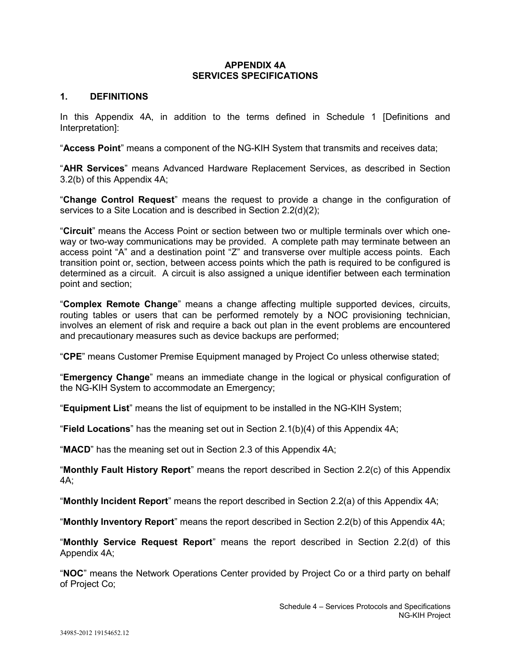#### **APPENDIX 4A SERVICES SPECIFICATIONS**

## **1. DEFINITIONS**

In this Appendix 4A, in addition to the terms defined in Schedule 1 [Definitions and Interpretation]:

"**Access Point**" means a component of the NG-KIH System that transmits and receives data;

"**AHR Services**" means Advanced Hardware Replacement Services, as described in Section 3.2(b) of this Appendix 4A;

"**Change Control Request**" means the request to provide a change in the configuration of services to a Site Location and is described in Section 2.2(d)(2);

"**Circuit**" means the Access Point or section between two or multiple terminals over which oneway or two-way communications may be provided. A complete path may terminate between an access point "A" and a destination point "Z" and transverse over multiple access points. Each transition point or, section, between access points which the path is required to be configured is determined as a circuit. A circuit is also assigned a unique identifier between each termination point and section;

"**Complex Remote Change**" means a change affecting multiple supported devices, circuits, routing tables or users that can be performed remotely by a NOC provisioning technician, involves an element of risk and require a back out plan in the event problems are encountered and precautionary measures such as device backups are performed;

"**CPE**" means Customer Premise Equipment managed by Project Co unless otherwise stated;

"**Emergency Change**" means an immediate change in the logical or physical configuration of the NG-KIH System to accommodate an Emergency;

"**Equipment List**" means the list of equipment to be installed in the NG-KIH System;

"**Field Locations**" has the meaning set out in Section 2.1(b)(4) of this Appendix 4A;

"**MACD**" has the meaning set out in Section 2.3 of this Appendix 4A;

"**Monthly Fault History Report**" means the report described in Section 2.2(c) of this Appendix 4A;

"**Monthly Incident Report**" means the report described in Section 2.2(a) of this Appendix 4A;

"**Monthly Inventory Report**" means the report described in Section 2.2(b) of this Appendix 4A;

"**Monthly Service Request Report**" means the report described in Section 2.2(d) of this Appendix 4A;

"**NOC**" means the Network Operations Center provided by Project Co or a third party on behalf of Project Co;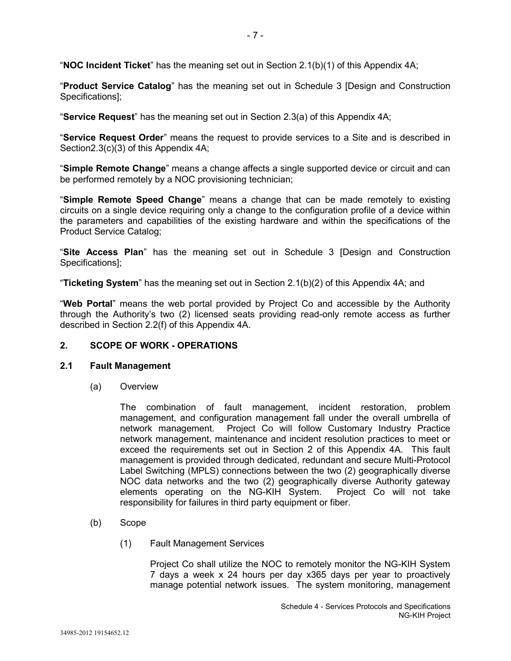"**NOC Incident Ticket**" has the meaning set out in Section 2.1(b)(1) of this Appendix 4A;

"**Product Service Catalog**" has the meaning set out in Schedule 3 [Design and Construction Specifications];

"**Service Request**" has the meaning set out in Section 2.3(a) of this Appendix 4A;

"**Service Request Order**" means the request to provide services to a Site and is described in Section2.3(c)(3) of this Appendix 4A;

"**Simple Remote Change**" means a change affects a single supported device or circuit and can be performed remotely by a NOC provisioning technician;

"**Simple Remote Speed Change**" means a change that can be made remotely to existing circuits on a single device requiring only a change to the configuration profile of a device within the parameters and capabilities of the existing hardware and within the specifications of the Product Service Catalog;

"**Site Access Plan**" has the meaning set out in Schedule 3 [Design and Construction Specifications];

"**Ticketing System**" has the meaning set out in Section 2.1(b)(2) of this Appendix 4A; and

"**Web Portal**" means the web portal provided by Project Co and accessible by the Authority through the Authority's two (2) licensed seats providing read-only remote access as further described in Section 2.2(f) of this Appendix 4A.

### **2. SCOPE OF WORK - OPERATIONS**

#### **2.1 Fault Management**

(a) Overview

The combination of fault management, incident restoration, problem management, and configuration management fall under the overall umbrella of network management. Project Co will follow Customary Industry Practice network management, maintenance and incident resolution practices to meet or exceed the requirements set out in Section 2 of this Appendix 4A. This fault management is provided through dedicated, redundant and secure Multi-Protocol Label Switching (MPLS) connections between the two (2) geographically diverse NOC data networks and the two (2) geographically diverse Authority gateway elements operating on the NG-KIH System. Project Co will not take responsibility for failures in third party equipment or fiber.

- (b) Scope
	- (1) Fault Management Services

Project Co shall utilize the NOC to remotely monitor the NG-KIH System 7 days a week x 24 hours per day x365 days per year to proactively manage potential network issues. The system monitoring, management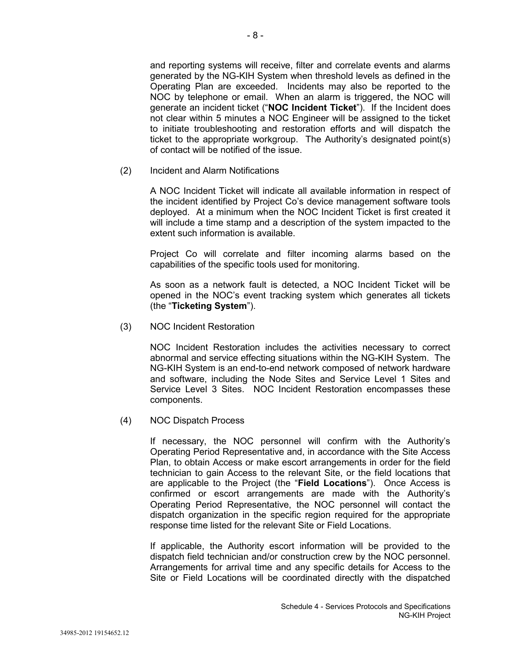and reporting systems will receive, filter and correlate events and alarms generated by the NG-KIH System when threshold levels as defined in the Operating Plan are exceeded. Incidents may also be reported to the NOC by telephone or email. When an alarm is triggered, the NOC will generate an incident ticket ("**NOC Incident Ticket**"). If the Incident does not clear within 5 minutes a NOC Engineer will be assigned to the ticket to initiate troubleshooting and restoration efforts and will dispatch the ticket to the appropriate workgroup. The Authority's designated point(s) of contact will be notified of the issue.

(2) Incident and Alarm Notifications

A NOC Incident Ticket will indicate all available information in respect of the incident identified by Project Co's device management software tools deployed. At a minimum when the NOC Incident Ticket is first created it will include a time stamp and a description of the system impacted to the extent such information is available.

Project Co will correlate and filter incoming alarms based on the capabilities of the specific tools used for monitoring.

As soon as a network fault is detected, a NOC Incident Ticket will be opened in the NOC's event tracking system which generates all tickets (the "**Ticketing System**").

(3) NOC Incident Restoration

NOC Incident Restoration includes the activities necessary to correct abnormal and service effecting situations within the NG-KIH System. The NG-KIH System is an end-to-end network composed of network hardware and software, including the Node Sites and Service Level 1 Sites and Service Level 3 Sites. NOC Incident Restoration encompasses these components.

(4) NOC Dispatch Process

If necessary, the NOC personnel will confirm with the Authority's Operating Period Representative and, in accordance with the Site Access Plan, to obtain Access or make escort arrangements in order for the field technician to gain Access to the relevant Site, or the field locations that are applicable to the Project (the "**Field Locations**"). Once Access is confirmed or escort arrangements are made with the Authority's Operating Period Representative, the NOC personnel will contact the dispatch organization in the specific region required for the appropriate response time listed for the relevant Site or Field Locations.

If applicable, the Authority escort information will be provided to the dispatch field technician and/or construction crew by the NOC personnel. Arrangements for arrival time and any specific details for Access to the Site or Field Locations will be coordinated directly with the dispatched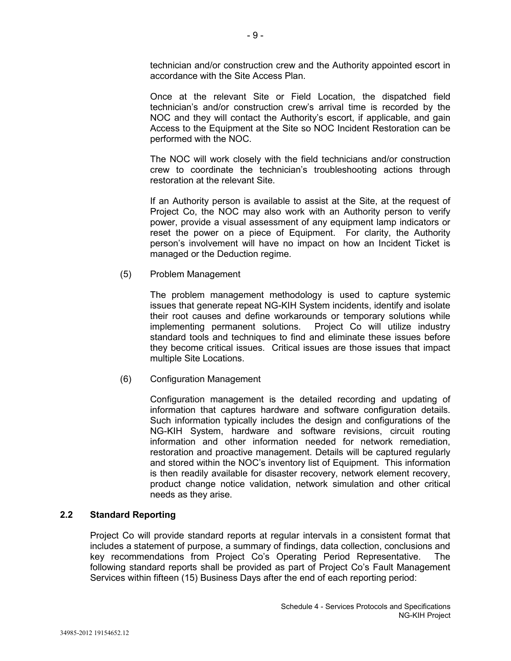technician and/or construction crew and the Authority appointed escort in accordance with the Site Access Plan.

Once at the relevant Site or Field Location, the dispatched field technician's and/or construction crew's arrival time is recorded by the NOC and they will contact the Authority's escort, if applicable, and gain Access to the Equipment at the Site so NOC Incident Restoration can be performed with the NOC.

The NOC will work closely with the field technicians and/or construction crew to coordinate the technician's troubleshooting actions through restoration at the relevant Site.

If an Authority person is available to assist at the Site, at the request of Project Co, the NOC may also work with an Authority person to verify power, provide a visual assessment of any equipment lamp indicators or reset the power on a piece of Equipment. For clarity, the Authority person's involvement will have no impact on how an Incident Ticket is managed or the Deduction regime.

## (5) Problem Management

The problem management methodology is used to capture systemic issues that generate repeat NG-KIH System incidents, identify and isolate their root causes and define workarounds or temporary solutions while implementing permanent solutions. Project Co will utilize industry standard tools and techniques to find and eliminate these issues before they become critical issues. Critical issues are those issues that impact multiple Site Locations.

(6) Configuration Management

Configuration management is the detailed recording and updating of information that captures hardware and software configuration details. Such information typically includes the design and configurations of the NG-KIH System, hardware and software revisions, circuit routing information and other information needed for network remediation, restoration and proactive management. Details will be captured regularly and stored within the NOC's inventory list of Equipment. This information is then readily available for disaster recovery, network element recovery, product change notice validation, network simulation and other critical needs as they arise.

## **2.2 Standard Reporting**

Project Co will provide standard reports at regular intervals in a consistent format that includes a statement of purpose, a summary of findings, data collection, conclusions and key recommendations from Project Co's Operating Period Representative. The following standard reports shall be provided as part of Project Co's Fault Management Services within fifteen (15) Business Days after the end of each reporting period: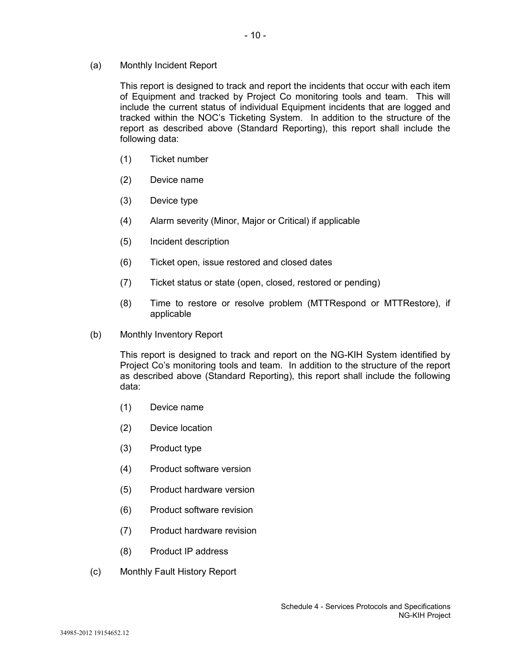(a) Monthly Incident Report

This report is designed to track and report the incidents that occur with each item of Equipment and tracked by Project Co monitoring tools and team. This will include the current status of individual Equipment incidents that are logged and tracked within the NOC's Ticketing System. In addition to the structure of the report as described above (Standard Reporting), this report shall include the following data:

- (1) Ticket number
- (2) Device name
- (3) Device type
- (4) Alarm severity (Minor, Major or Critical) if applicable
- (5) Incident description
- (6) Ticket open, issue restored and closed dates
- (7) Ticket status or state (open, closed, restored or pending)
- (8) Time to restore or resolve problem (MTTRespond or MTTRestore), if applicable
- (b) Monthly Inventory Report

This report is designed to track and report on the NG-KIH System identified by Project Co's monitoring tools and team. In addition to the structure of the report as described above (Standard Reporting), this report shall include the following data:

- (1) Device name
- (2) Device location
- (3) Product type
- (4) Product software version
- (5) Product hardware version
- (6) Product software revision
- (7) Product hardware revision
- (8) Product IP address
- (c) Monthly Fault History Report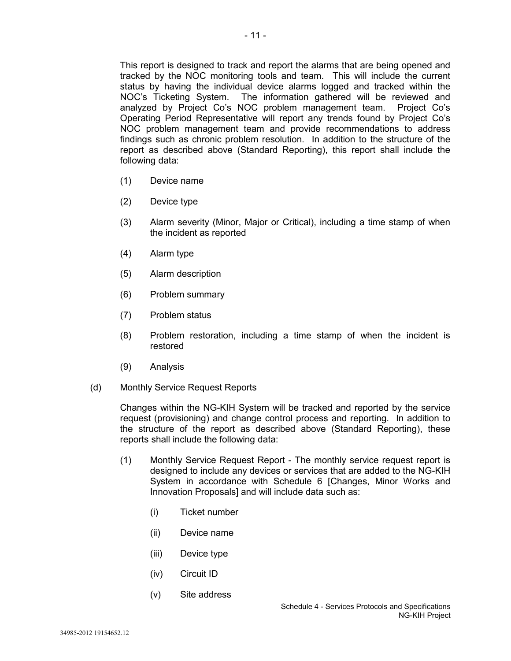- 11 -

This report is designed to track and report the alarms that are being opened and tracked by the NOC monitoring tools and team. This will include the current status by having the individual device alarms logged and tracked within the NOC's Ticketing System. The information gathered will be reviewed and analyzed by Project Co's NOC problem management team. Project Co's Operating Period Representative will report any trends found by Project Co's NOC problem management team and provide recommendations to address findings such as chronic problem resolution. In addition to the structure of the report as described above (Standard Reporting), this report shall include the following data:

- (1) Device name
- (2) Device type
- (3) Alarm severity (Minor, Major or Critical), including a time stamp of when the incident as reported
- (4) Alarm type
- (5) Alarm description
- (6) Problem summary
- (7) Problem status
- (8) Problem restoration, including a time stamp of when the incident is restored
- (9) Analysis
- (d) Monthly Service Request Reports

Changes within the NG-KIH System will be tracked and reported by the service request (provisioning) and change control process and reporting. In addition to the structure of the report as described above (Standard Reporting), these reports shall include the following data:

- (1) Monthly Service Request Report The monthly service request report is designed to include any devices or services that are added to the NG-KIH System in accordance with Schedule 6 [Changes, Minor Works and Innovation Proposals] and will include data such as:
	- (i) Ticket number
	- (ii) Device name
	- (iii) Device type
	- (iv) Circuit ID
	- (v) Site address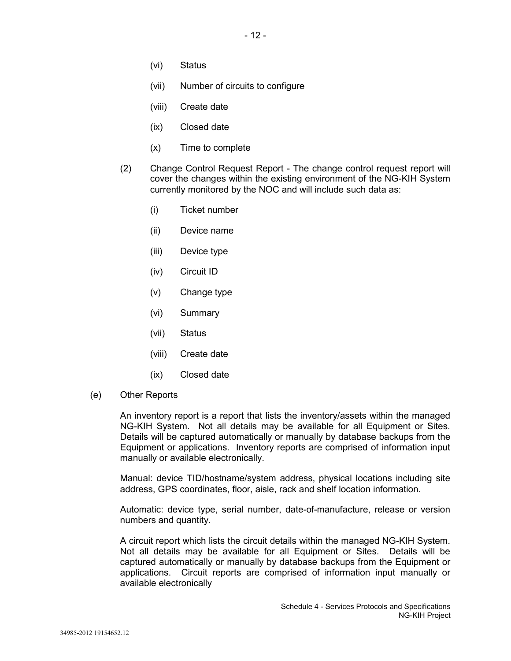- (vi) Status
- (vii) Number of circuits to configure
- (viii) Create date
- (ix) Closed date
- (x) Time to complete
- (2) Change Control Request Report The change control request report will cover the changes within the existing environment of the NG-KIH System currently monitored by the NOC and will include such data as:
	- (i) Ticket number
	- (ii) Device name
	- (iii) Device type
	- (iv) Circuit ID
	- (v) Change type
	- (vi) Summary
	- (vii) Status
	- (viii) Create date
	- (ix) Closed date
- (e) Other Reports

An inventory report is a report that lists the inventory/assets within the managed NG-KIH System. Not all details may be available for all Equipment or Sites. Details will be captured automatically or manually by database backups from the Equipment or applications. Inventory reports are comprised of information input manually or available electronically.

Manual: device TID/hostname/system address, physical locations including site address, GPS coordinates, floor, aisle, rack and shelf location information.

Automatic: device type, serial number, date-of-manufacture, release or version numbers and quantity.

A circuit report which lists the circuit details within the managed NG-KIH System. Not all details may be available for all Equipment or Sites. Details will be captured automatically or manually by database backups from the Equipment or applications. Circuit reports are comprised of information input manually or available electronically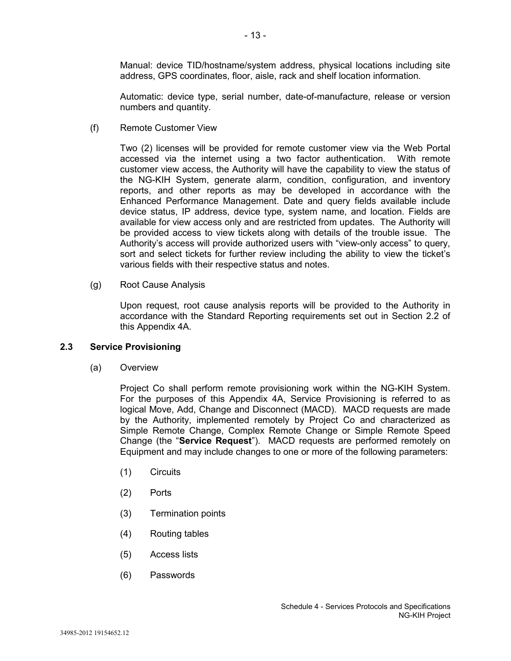Manual: device TID/hostname/system address, physical locations including site address, GPS coordinates, floor, aisle, rack and shelf location information.

Automatic: device type, serial number, date-of-manufacture, release or version numbers and quantity.

(f) Remote Customer View

Two (2) licenses will be provided for remote customer view via the Web Portal accessed via the internet using a two factor authentication. With remote customer view access, the Authority will have the capability to view the status of the NG-KIH System, generate alarm, condition, configuration, and inventory reports, and other reports as may be developed in accordance with the Enhanced Performance Management. Date and query fields available include device status, IP address, device type, system name, and location. Fields are available for view access only and are restricted from updates. The Authority will be provided access to view tickets along with details of the trouble issue. The Authority's access will provide authorized users with "view-only access" to query, sort and select tickets for further review including the ability to view the ticket's various fields with their respective status and notes.

(g) Root Cause Analysis

Upon request, root cause analysis reports will be provided to the Authority in accordance with the Standard Reporting requirements set out in Section 2.2 of this Appendix 4A.

#### **2.3 Service Provisioning**

(a) Overview

Project Co shall perform remote provisioning work within the NG-KIH System. For the purposes of this Appendix 4A, Service Provisioning is referred to as logical Move, Add, Change and Disconnect (MACD). MACD requests are made by the Authority, implemented remotely by Project Co and characterized as Simple Remote Change, Complex Remote Change or Simple Remote Speed Change (the "**Service Request**"). MACD requests are performed remotely on Equipment and may include changes to one or more of the following parameters:

- (1) Circuits
- (2) Ports
- (3) Termination points
- (4) Routing tables
- (5) Access lists
- (6) Passwords

- 13 -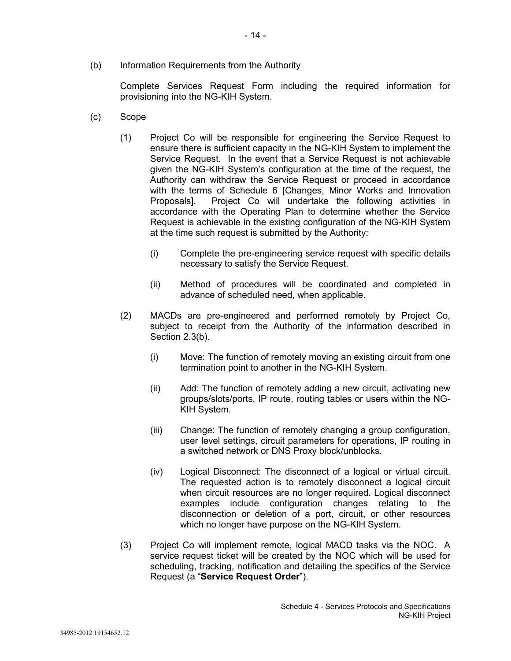(b) Information Requirements from the Authority

Complete Services Request Form including the required information for provisioning into the NG-KIH System.

- (c) Scope
	- (1) Project Co will be responsible for engineering the Service Request to ensure there is sufficient capacity in the NG-KIH System to implement the Service Request. In the event that a Service Request is not achievable given the NG-KIH System's configuration at the time of the request, the Authority can withdraw the Service Request or proceed in accordance with the terms of Schedule 6 [Changes, Minor Works and Innovation<br>Proposalsl. Project Co will undertake the following activities in Project Co will undertake the following activities in accordance with the Operating Plan to determine whether the Service Request is achievable in the existing configuration of the NG-KIH System at the time such request is submitted by the Authority:
		- (i) Complete the pre-engineering service request with specific details necessary to satisfy the Service Request.
		- (ii) Method of procedures will be coordinated and completed in advance of scheduled need, when applicable.
	- (2) MACDs are pre-engineered and performed remotely by Project Co, subject to receipt from the Authority of the information described in Section 2.3(b).
		- (i) Move: The function of remotely moving an existing circuit from one termination point to another in the NG-KIH System.
		- (ii) Add: The function of remotely adding a new circuit, activating new groups/slots/ports, IP route, routing tables or users within the NG-KIH System.
		- (iii) Change: The function of remotely changing a group configuration, user level settings, circuit parameters for operations, IP routing in a switched network or DNS Proxy block/unblocks.
		- (iv) Logical Disconnect: The disconnect of a logical or virtual circuit. The requested action is to remotely disconnect a logical circuit when circuit resources are no longer required. Logical disconnect examples include configuration changes relating to the disconnection or deletion of a port, circuit, or other resources which no longer have purpose on the NG-KIH System.
	- (3) Project Co will implement remote, logical MACD tasks via the NOC. A service request ticket will be created by the NOC which will be used for scheduling, tracking, notification and detailing the specifics of the Service Request (a "**Service Request Order**").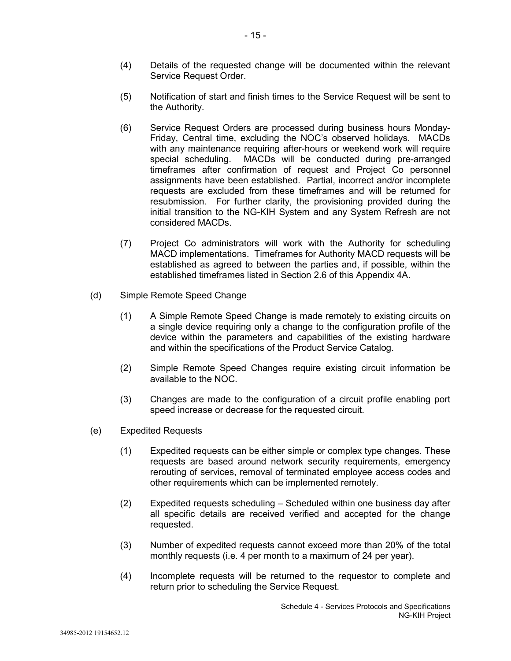- (4) Details of the requested change will be documented within the relevant Service Request Order.
- (5) Notification of start and finish times to the Service Request will be sent to the Authority.
- (6) Service Request Orders are processed during business hours Monday-Friday, Central time, excluding the NOC's observed holidays. MACDs with any maintenance requiring after-hours or weekend work will require special scheduling. MACDs will be conducted during pre-arranged timeframes after confirmation of request and Project Co personnel assignments have been established. Partial, incorrect and/or incomplete requests are excluded from these timeframes and will be returned for resubmission. For further clarity, the provisioning provided during the initial transition to the NG-KIH System and any System Refresh are not considered MACDs.
- (7) Project Co administrators will work with the Authority for scheduling MACD implementations. Timeframes for Authority MACD requests will be established as agreed to between the parties and, if possible, within the established timeframes listed in Section 2.6 of this Appendix 4A.
- (d) Simple Remote Speed Change
	- (1) A Simple Remote Speed Change is made remotely to existing circuits on a single device requiring only a change to the configuration profile of the device within the parameters and capabilities of the existing hardware and within the specifications of the Product Service Catalog.
	- (2) Simple Remote Speed Changes require existing circuit information be available to the NOC.
	- (3) Changes are made to the configuration of a circuit profile enabling port speed increase or decrease for the requested circuit.
- (e) Expedited Requests
	- (1) Expedited requests can be either simple or complex type changes. These requests are based around network security requirements, emergency rerouting of services, removal of terminated employee access codes and other requirements which can be implemented remotely.
	- (2) Expedited requests scheduling Scheduled within one business day after all specific details are received verified and accepted for the change requested.
	- (3) Number of expedited requests cannot exceed more than 20% of the total monthly requests (i.e. 4 per month to a maximum of 24 per year).
	- (4) Incomplete requests will be returned to the requestor to complete and return prior to scheduling the Service Request.

- 15 -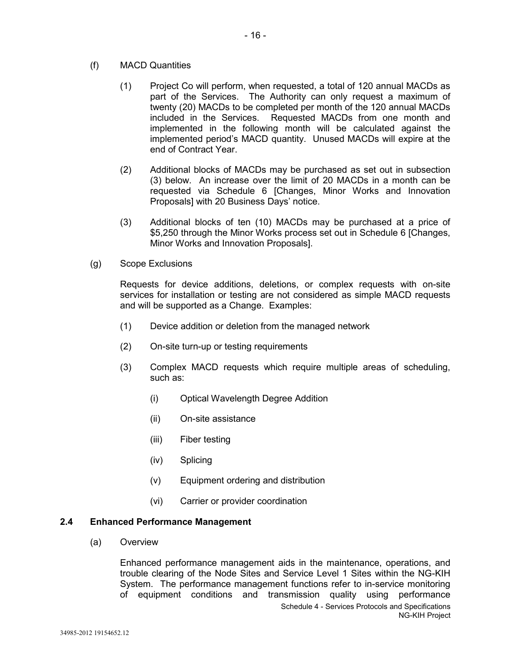- (f) MACD Quantities
	- (1) Project Co will perform, when requested, a total of 120 annual MACDs as part of the Services. The Authority can only request a maximum of twenty (20) MACDs to be completed per month of the 120 annual MACDs included in the Services. Requested MACDs from one month and implemented in the following month will be calculated against the implemented period's MACD quantity. Unused MACDs will expire at the end of Contract Year.
	- (2) Additional blocks of MACDs may be purchased as set out in subsection (3) below. An increase over the limit of 20 MACDs in a month can be requested via Schedule 6 [Changes, Minor Works and Innovation Proposals] with 20 Business Days' notice.
	- (3) Additional blocks of ten (10) MACDs may be purchased at a price of \$5,250 through the Minor Works process set out in Schedule 6 [Changes, Minor Works and Innovation Proposals].
- (g) Scope Exclusions

Requests for device additions, deletions, or complex requests with on-site services for installation or testing are not considered as simple MACD requests and will be supported as a Change. Examples:

- (1) Device addition or deletion from the managed network
- (2) On-site turn-up or testing requirements
- (3) Complex MACD requests which require multiple areas of scheduling, such as:
	- (i) Optical Wavelength Degree Addition
	- (ii) On-site assistance
	- (iii) Fiber testing
	- (iv) Splicing
	- (v) Equipment ordering and distribution
	- (vi) Carrier or provider coordination

#### **2.4 Enhanced Performance Management**

(a) Overview

Schedule 4 - Services Protocols and Specifications NG-KIH Project Enhanced performance management aids in the maintenance, operations, and trouble clearing of the Node Sites and Service Level 1 Sites within the NG-KIH System. The performance management functions refer to in-service monitoring of equipment conditions and transmission quality using performance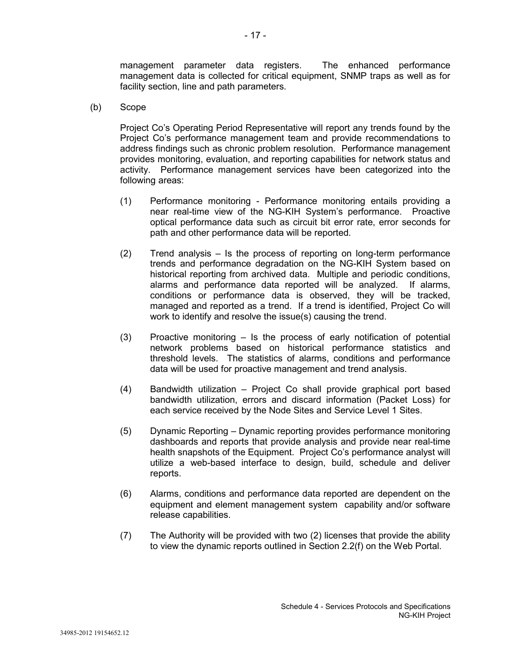management parameter data registers. The enhanced performance management data is collected for critical equipment, SNMP traps as well as for facility section, line and path parameters.

(b) Scope

Project Co's Operating Period Representative will report any trends found by the Project Co's performance management team and provide recommendations to address findings such as chronic problem resolution. Performance management provides monitoring, evaluation, and reporting capabilities for network status and activity. Performance management services have been categorized into the following areas:

- (1) Performance monitoring Performance monitoring entails providing a near real-time view of the NG-KIH System's performance. Proactive optical performance data such as circuit bit error rate, error seconds for path and other performance data will be reported.
- (2) Trend analysis Is the process of reporting on long-term performance trends and performance degradation on the NG-KIH System based on historical reporting from archived data. Multiple and periodic conditions, alarms and performance data reported will be analyzed. If alarms, conditions or performance data is observed, they will be tracked, managed and reported as a trend. If a trend is identified, Project Co will work to identify and resolve the issue(s) causing the trend.
- (3) Proactive monitoring Is the process of early notification of potential network problems based on historical performance statistics and threshold levels. The statistics of alarms, conditions and performance data will be used for proactive management and trend analysis.
- (4) Bandwidth utilization Project Co shall provide graphical port based bandwidth utilization, errors and discard information (Packet Loss) for each service received by the Node Sites and Service Level 1 Sites.
- (5) Dynamic Reporting Dynamic reporting provides performance monitoring dashboards and reports that provide analysis and provide near real-time health snapshots of the Equipment. Project Co's performance analyst will utilize a web-based interface to design, build, schedule and deliver reports.
- (6) Alarms, conditions and performance data reported are dependent on the equipment and element management system capability and/or software release capabilities.
- (7) The Authority will be provided with two (2) licenses that provide the ability to view the dynamic reports outlined in Section 2.2(f) on the Web Portal.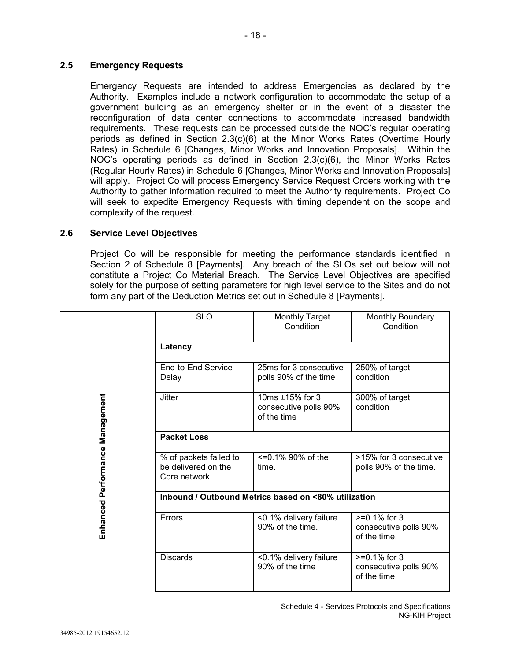## **2.5 Emergency Requests**

Emergency Requests are intended to address Emergencies as declared by the Authority. Examples include a network configuration to accommodate the setup of a government building as an emergency shelter or in the event of a disaster the reconfiguration of data center connections to accommodate increased bandwidth requirements. These requests can be processed outside the NOC's regular operating periods as defined in Section 2.3(c)(6) at the Minor Works Rates (Overtime Hourly Rates) in Schedule 6 [Changes, Minor Works and Innovation Proposals]. Within the NOC's operating periods as defined in Section 2.3(c)(6), the Minor Works Rates (Regular Hourly Rates) in Schedule 6 [Changes, Minor Works and Innovation Proposals] will apply. Project Co will process Emergency Service Request Orders working with the Authority to gather information required to meet the Authority requirements. Project Co will seek to expedite Emergency Requests with timing dependent on the scope and complexity of the request.

## **2.6 Service Level Objectives**

Project Co will be responsible for meeting the performance standards identified in Section 2 of Schedule 8 [Payments]. Any breach of the SLOs set out below will not constitute a Project Co Material Breach. The Service Level Objectives are specified solely for the purpose of setting parameters for high level service to the Sites and do not form any part of the Deduction Metrics set out in Schedule 8 [Payments].

|                                 | <b>SLO</b>                                                    | <b>Monthly Target</b><br>Condition                      | Monthly Boundary<br>Condition                            |  |
|---------------------------------|---------------------------------------------------------------|---------------------------------------------------------|----------------------------------------------------------|--|
|                                 | Latency                                                       |                                                         |                                                          |  |
| Enhanced Performance Management | End-to-End Service<br>Delay                                   | 25ms for 3 consecutive<br>polls 90% of the time         | 250% of target<br>condition                              |  |
|                                 | <b>Jitter</b>                                                 | 10ms ±15% for 3<br>consecutive polls 90%<br>of the time | 300% of target<br>condition                              |  |
|                                 | <b>Packet Loss</b>                                            |                                                         |                                                          |  |
|                                 | % of packets failed to<br>be delivered on the<br>Core network | $\leq$ =0.1% 90% of the<br>time.                        | >15% for 3 consecutive<br>polls 90% of the time.         |  |
|                                 | Inbound / Outbound Metrics based on <80% utilization          |                                                         |                                                          |  |
|                                 | Errors                                                        | <0.1% delivery failure<br>90% of the time.              | $>=0.1\%$ for 3<br>consecutive polls 90%<br>of the time. |  |
|                                 | <b>Discards</b>                                               | <0.1% delivery failure<br>90% of the time               | $>=0.1\%$ for 3<br>consecutive polls 90%<br>of the time  |  |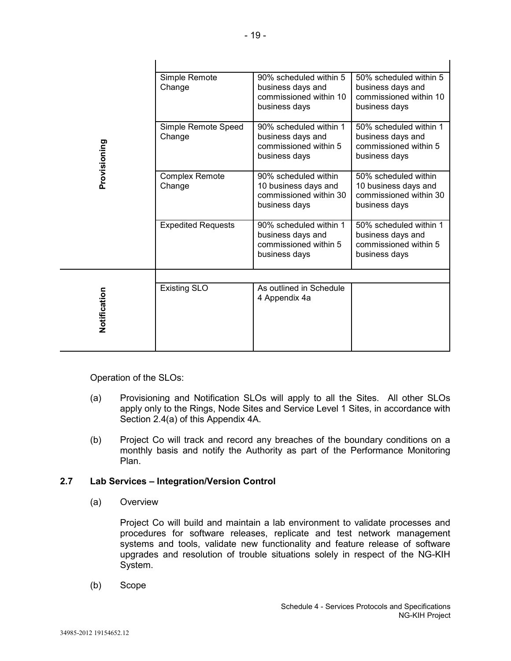| Provisioning | Simple Remote<br>Change         | 90% scheduled within 5<br>business days and<br>commissioned within 10<br>business days  | 50% scheduled within 5<br>business days and<br>commissioned within 10<br>business days  |
|--------------|---------------------------------|-----------------------------------------------------------------------------------------|-----------------------------------------------------------------------------------------|
|              | Simple Remote Speed<br>Change   | 90% scheduled within 1<br>business days and<br>commissioned within 5<br>business days   | 50% scheduled within 1<br>business days and<br>commissioned within 5<br>business days   |
|              | <b>Complex Remote</b><br>Change | 90% scheduled within<br>10 business days and<br>commissioned within 30<br>business days | 50% scheduled within<br>10 business days and<br>commissioned within 30<br>business days |
|              | <b>Expedited Requests</b>       | 90% scheduled within 1<br>business days and<br>commissioned within 5<br>business days   | 50% scheduled within 1<br>business days and<br>commissioned within 5<br>business days   |
|              |                                 |                                                                                         |                                                                                         |
| Notification | <b>Existing SLO</b>             | As outlined in Schedule<br>4 Appendix 4a                                                |                                                                                         |

Operation of the SLOs:

- (a) Provisioning and Notification SLOs will apply to all the Sites. All other SLOs apply only to the Rings, Node Sites and Service Level 1 Sites, in accordance with Section 2.4(a) of this Appendix 4A.
- (b) Project Co will track and record any breaches of the boundary conditions on a monthly basis and notify the Authority as part of the Performance Monitoring Plan.

## **2.7 Lab Services – Integration/Version Control**

(a) Overview

Project Co will build and maintain a lab environment to validate processes and procedures for software releases, replicate and test network management systems and tools, validate new functionality and feature release of software upgrades and resolution of trouble situations solely in respect of the NG-KIH System.

(b) Scope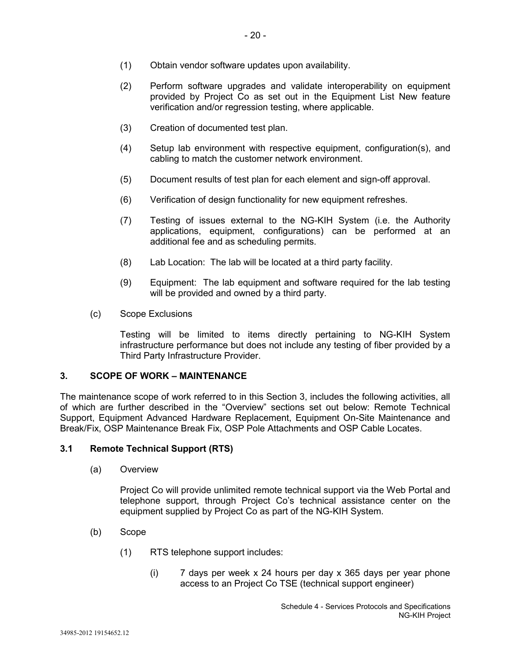- (1) Obtain vendor software updates upon availability.
- (2) Perform software upgrades and validate interoperability on equipment provided by Project Co as set out in the Equipment List New feature verification and/or regression testing, where applicable.
- (3) Creation of documented test plan.
- (4) Setup lab environment with respective equipment, configuration(s), and cabling to match the customer network environment.
- (5) Document results of test plan for each element and sign-off approval.
- (6) Verification of design functionality for new equipment refreshes.
- (7) Testing of issues external to the NG-KIH System (i.e. the Authority applications, equipment, configurations) can be performed at an additional fee and as scheduling permits.
- (8) Lab Location: The lab will be located at a third party facility.
- (9) Equipment: The lab equipment and software required for the lab testing will be provided and owned by a third party.
- (c) Scope Exclusions

Testing will be limited to items directly pertaining to NG-KIH System infrastructure performance but does not include any testing of fiber provided by a Third Party Infrastructure Provider.

#### **3. SCOPE OF WORK – MAINTENANCE**

The maintenance scope of work referred to in this Section 3, includes the following activities, all of which are further described in the "Overview" sections set out below: Remote Technical Support, Equipment Advanced Hardware Replacement, Equipment On-Site Maintenance and Break/Fix, OSP Maintenance Break Fix, OSP Pole Attachments and OSP Cable Locates.

#### **3.1 Remote Technical Support (RTS)**

(a) Overview

Project Co will provide unlimited remote technical support via the Web Portal and telephone support, through Project Co's technical assistance center on the equipment supplied by Project Co as part of the NG-KIH System.

- (b) Scope
	- (1) RTS telephone support includes:
		- (i) 7 days per week x 24 hours per day x 365 days per year phone access to an Project Co TSE (technical support engineer)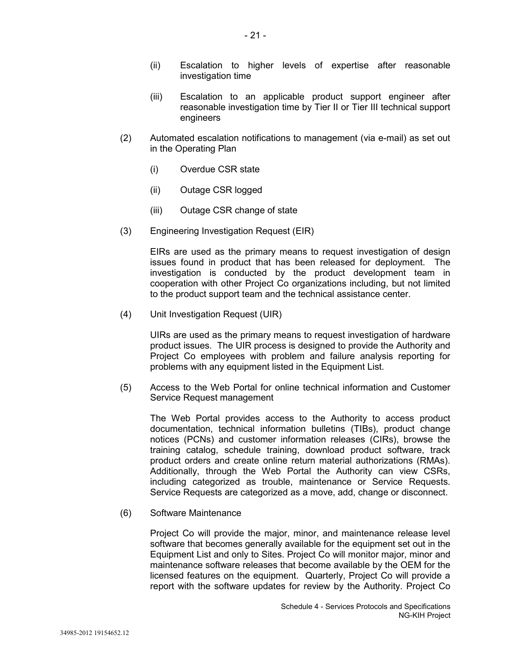- (ii) Escalation to higher levels of expertise after reasonable investigation time
- (iii) Escalation to an applicable product support engineer after reasonable investigation time by Tier II or Tier III technical support engineers
- (2) Automated escalation notifications to management (via e-mail) as set out in the Operating Plan
	- (i) Overdue CSR state
	- (ii) Outage CSR logged
	- (iii) Outage CSR change of state
- (3) Engineering Investigation Request (EIR)

EIRs are used as the primary means to request investigation of design issues found in product that has been released for deployment. The investigation is conducted by the product development team in cooperation with other Project Co organizations including, but not limited to the product support team and the technical assistance center.

(4) Unit Investigation Request (UIR)

UIRs are used as the primary means to request investigation of hardware product issues. The UIR process is designed to provide the Authority and Project Co employees with problem and failure analysis reporting for problems with any equipment listed in the Equipment List.

(5) Access to the Web Portal for online technical information and Customer Service Request management

The Web Portal provides access to the Authority to access product documentation, technical information bulletins (TIBs), product change notices (PCNs) and customer information releases (CIRs), browse the training catalog, schedule training, download product software, track product orders and create online return material authorizations (RMAs). Additionally, through the Web Portal the Authority can view CSRs, including categorized as trouble, maintenance or Service Requests. Service Requests are categorized as a move, add, change or disconnect.

(6) Software Maintenance

Project Co will provide the major, minor, and maintenance release level software that becomes generally available for the equipment set out in the Equipment List and only to Sites. Project Co will monitor major, minor and maintenance software releases that become available by the OEM for the licensed features on the equipment. Quarterly, Project Co will provide a report with the software updates for review by the Authority. Project Co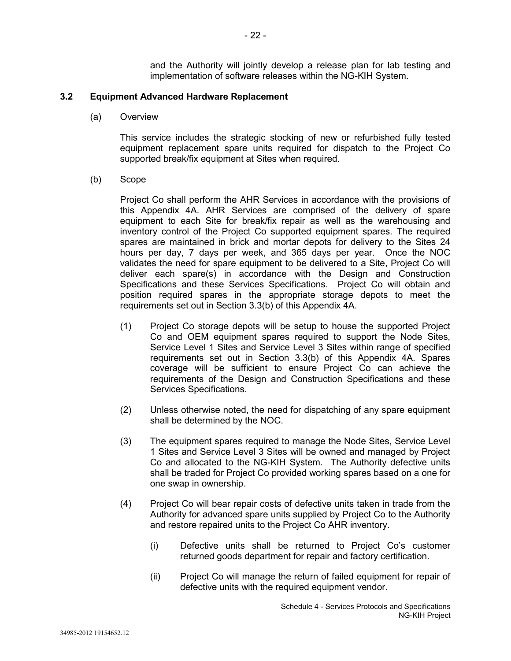and the Authority will jointly develop a release plan for lab testing and implementation of software releases within the NG-KIH System.

### **3.2 Equipment Advanced Hardware Replacement**

(a) Overview

This service includes the strategic stocking of new or refurbished fully tested equipment replacement spare units required for dispatch to the Project Co supported break/fix equipment at Sites when required.

(b) Scope

Project Co shall perform the AHR Services in accordance with the provisions of this Appendix 4A. AHR Services are comprised of the delivery of spare equipment to each Site for break/fix repair as well as the warehousing and inventory control of the Project Co supported equipment spares. The required spares are maintained in brick and mortar depots for delivery to the Sites 24 hours per day, 7 days per week, and 365 days per year. Once the NOC validates the need for spare equipment to be delivered to a Site, Project Co will deliver each spare(s) in accordance with the Design and Construction Specifications and these Services Specifications. Project Co will obtain and position required spares in the appropriate storage depots to meet the requirements set out in Section 3.3(b) of this Appendix 4A.

- (1) Project Co storage depots will be setup to house the supported Project Co and OEM equipment spares required to support the Node Sites, Service Level 1 Sites and Service Level 3 Sites within range of specified requirements set out in Section 3.3(b) of this Appendix 4A. Spares coverage will be sufficient to ensure Project Co can achieve the requirements of the Design and Construction Specifications and these Services Specifications.
- (2) Unless otherwise noted, the need for dispatching of any spare equipment shall be determined by the NOC.
- (3) The equipment spares required to manage the Node Sites, Service Level 1 Sites and Service Level 3 Sites will be owned and managed by Project Co and allocated to the NG-KIH System. The Authority defective units shall be traded for Project Co provided working spares based on a one for one swap in ownership.
- (4) Project Co will bear repair costs of defective units taken in trade from the Authority for advanced spare units supplied by Project Co to the Authority and restore repaired units to the Project Co AHR inventory.
	- (i) Defective units shall be returned to Project Co's customer returned goods department for repair and factory certification.
	- (ii) Project Co will manage the return of failed equipment for repair of defective units with the required equipment vendor.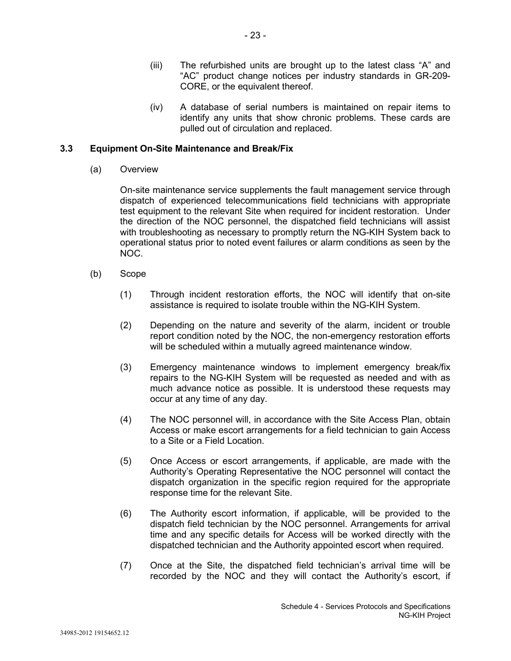- (iii) The refurbished units are brought up to the latest class "A" and "AC" product change notices per industry standards in GR-209- CORE, or the equivalent thereof.
- (iv) A database of serial numbers is maintained on repair items to identify any units that show chronic problems. These cards are pulled out of circulation and replaced.

## **3.3 Equipment On-Site Maintenance and Break/Fix**

(a) Overview

On-site maintenance service supplements the fault management service through dispatch of experienced telecommunications field technicians with appropriate test equipment to the relevant Site when required for incident restoration. Under the direction of the NOC personnel, the dispatched field technicians will assist with troubleshooting as necessary to promptly return the NG-KIH System back to operational status prior to noted event failures or alarm conditions as seen by the NOC.

- (b) Scope
	- (1) Through incident restoration efforts, the NOC will identify that on-site assistance is required to isolate trouble within the NG-KIH System.
	- (2) Depending on the nature and severity of the alarm, incident or trouble report condition noted by the NOC, the non-emergency restoration efforts will be scheduled within a mutually agreed maintenance window.
	- (3) Emergency maintenance windows to implement emergency break/fix repairs to the NG-KIH System will be requested as needed and with as much advance notice as possible. It is understood these requests may occur at any time of any day.
	- (4) The NOC personnel will, in accordance with the Site Access Plan, obtain Access or make escort arrangements for a field technician to gain Access to a Site or a Field Location.
	- (5) Once Access or escort arrangements, if applicable, are made with the Authority's Operating Representative the NOC personnel will contact the dispatch organization in the specific region required for the appropriate response time for the relevant Site.
	- (6) The Authority escort information, if applicable, will be provided to the dispatch field technician by the NOC personnel. Arrangements for arrival time and any specific details for Access will be worked directly with the dispatched technician and the Authority appointed escort when required.
	- (7) Once at the Site, the dispatched field technician's arrival time will be recorded by the NOC and they will contact the Authority's escort, if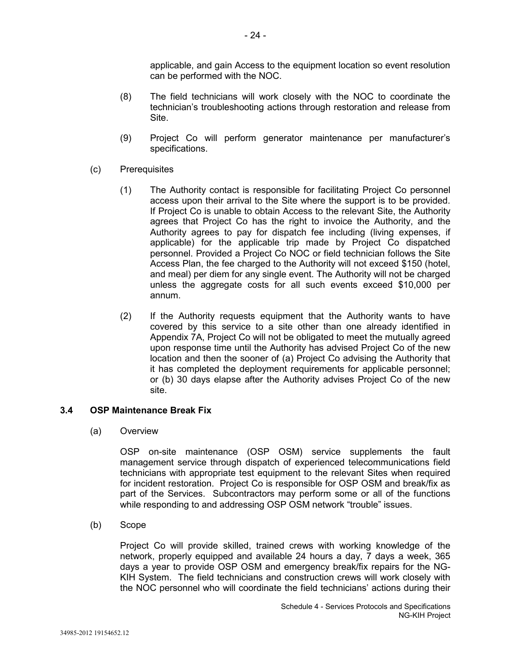applicable, and gain Access to the equipment location so event resolution can be performed with the NOC.

- (8) The field technicians will work closely with the NOC to coordinate the technician's troubleshooting actions through restoration and release from Site.
- (9) Project Co will perform generator maintenance per manufacturer's specifications.
- (c) Prerequisites
	- (1) The Authority contact is responsible for facilitating Project Co personnel access upon their arrival to the Site where the support is to be provided. If Project Co is unable to obtain Access to the relevant Site, the Authority agrees that Project Co has the right to invoice the Authority, and the Authority agrees to pay for dispatch fee including (living expenses, if applicable) for the applicable trip made by Project Co dispatched personnel. Provided a Project Co NOC or field technician follows the Site Access Plan, the fee charged to the Authority will not exceed \$150 (hotel, and meal) per diem for any single event. The Authority will not be charged unless the aggregate costs for all such events exceed \$10,000 per annum.
	- (2) If the Authority requests equipment that the Authority wants to have covered by this service to a site other than one already identified in Appendix 7A, Project Co will not be obligated to meet the mutually agreed upon response time until the Authority has advised Project Co of the new location and then the sooner of (a) Project Co advising the Authority that it has completed the deployment requirements for applicable personnel; or (b) 30 days elapse after the Authority advises Project Co of the new site.

#### **3.4 OSP Maintenance Break Fix**

(a) Overview

OSP on-site maintenance (OSP OSM) service supplements the fault management service through dispatch of experienced telecommunications field technicians with appropriate test equipment to the relevant Sites when required for incident restoration. Project Co is responsible for OSP OSM and break/fix as part of the Services. Subcontractors may perform some or all of the functions while responding to and addressing OSP OSM network "trouble" issues.

(b) Scope

Project Co will provide skilled, trained crews with working knowledge of the network, properly equipped and available 24 hours a day, 7 days a week, 365 days a year to provide OSP OSM and emergency break/fix repairs for the NG-KIH System. The field technicians and construction crews will work closely with the NOC personnel who will coordinate the field technicians' actions during their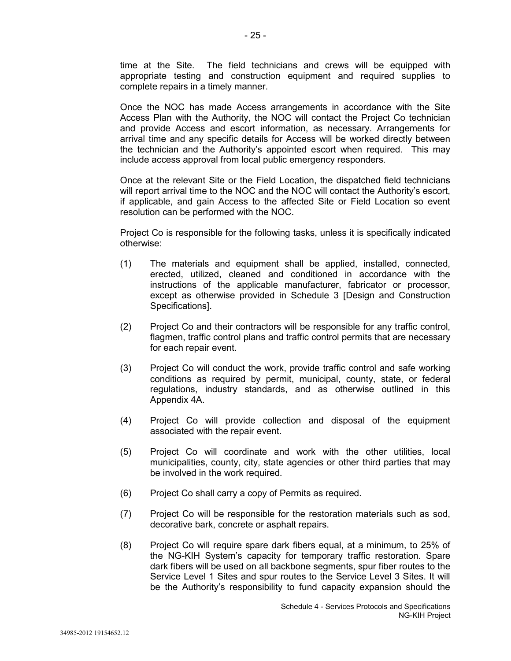time at the Site. The field technicians and crews will be equipped with appropriate testing and construction equipment and required supplies to complete repairs in a timely manner.

Once the NOC has made Access arrangements in accordance with the Site Access Plan with the Authority, the NOC will contact the Project Co technician and provide Access and escort information, as necessary. Arrangements for arrival time and any specific details for Access will be worked directly between the technician and the Authority's appointed escort when required. This may include access approval from local public emergency responders.

Once at the relevant Site or the Field Location, the dispatched field technicians will report arrival time to the NOC and the NOC will contact the Authority's escort, if applicable, and gain Access to the affected Site or Field Location so event resolution can be performed with the NOC.

Project Co is responsible for the following tasks, unless it is specifically indicated otherwise:

- (1) The materials and equipment shall be applied, installed, connected, erected, utilized, cleaned and conditioned in accordance with the instructions of the applicable manufacturer, fabricator or processor, except as otherwise provided in Schedule 3 [Design and Construction Specifications].
- (2) Project Co and their contractors will be responsible for any traffic control, flagmen, traffic control plans and traffic control permits that are necessary for each repair event.
- (3) Project Co will conduct the work, provide traffic control and safe working conditions as required by permit, municipal, county, state, or federal regulations, industry standards, and as otherwise outlined in this Appendix 4A.
- (4) Project Co will provide collection and disposal of the equipment associated with the repair event.
- (5) Project Co will coordinate and work with the other utilities, local municipalities, county, city, state agencies or other third parties that may be involved in the work required.
- (6) Project Co shall carry a copy of Permits as required.
- (7) Project Co will be responsible for the restoration materials such as sod, decorative bark, concrete or asphalt repairs.
- (8) Project Co will require spare dark fibers equal, at a minimum, to 25% of the NG-KIH System's capacity for temporary traffic restoration. Spare dark fibers will be used on all backbone segments, spur fiber routes to the Service Level 1 Sites and spur routes to the Service Level 3 Sites. It will be the Authority's responsibility to fund capacity expansion should the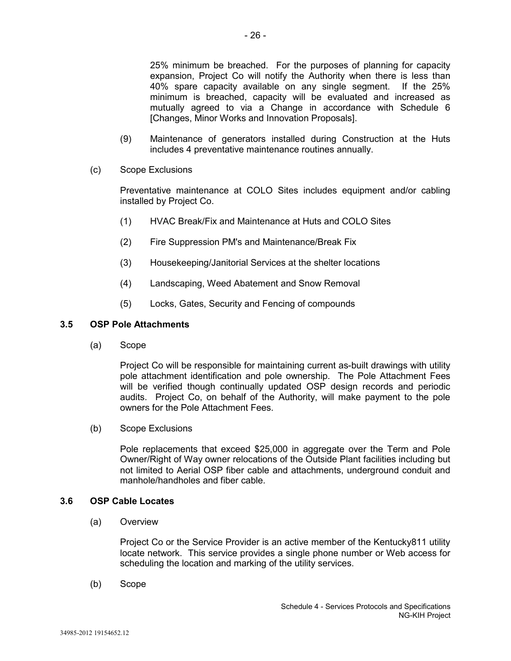25% minimum be breached. For the purposes of planning for capacity expansion, Project Co will notify the Authority when there is less than 40% spare capacity available on any single segment. If the 25% minimum is breached, capacity will be evaluated and increased as mutually agreed to via a Change in accordance with Schedule 6 [Changes, Minor Works and Innovation Proposals].

- (9) Maintenance of generators installed during Construction at the Huts includes 4 preventative maintenance routines annually.
- (c) Scope Exclusions

Preventative maintenance at COLO Sites includes equipment and/or cabling installed by Project Co.

- (1) HVAC Break/Fix and Maintenance at Huts and COLO Sites
- (2) Fire Suppression PM's and Maintenance/Break Fix
- (3) Housekeeping/Janitorial Services at the shelter locations
- (4) Landscaping, Weed Abatement and Snow Removal
- (5) Locks, Gates, Security and Fencing of compounds

#### **3.5 OSP Pole Attachments**

(a) Scope

Project Co will be responsible for maintaining current as-built drawings with utility pole attachment identification and pole ownership. The Pole Attachment Fees will be verified though continually updated OSP design records and periodic audits. Project Co, on behalf of the Authority, will make payment to the pole owners for the Pole Attachment Fees.

(b) Scope Exclusions

Pole replacements that exceed \$25,000 in aggregate over the Term and Pole Owner/Right of Way owner relocations of the Outside Plant facilities including but not limited to Aerial OSP fiber cable and attachments, underground conduit and manhole/handholes and fiber cable.

#### **3.6 OSP Cable Locates**

(a) Overview

Project Co or the Service Provider is an active member of the Kentucky811 utility locate network. This service provides a single phone number or Web access for scheduling the location and marking of the utility services.

(b) Scope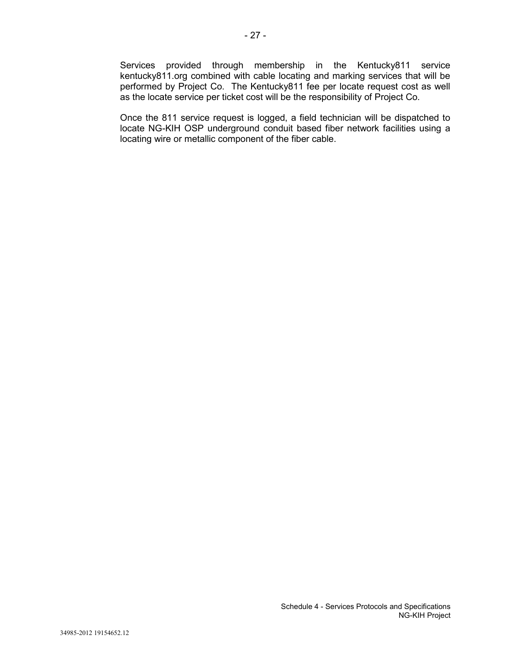Services provided through membership in the Kentucky811 service kentucky811.org combined with cable locating and marking services that will be performed by Project Co. The Kentucky811 fee per locate request cost as well as the locate service per ticket cost will be the responsibility of Project Co.

Once the 811 service request is logged, a field technician will be dispatched to locate NG-KIH OSP underground conduit based fiber network facilities using a locating wire or metallic component of the fiber cable.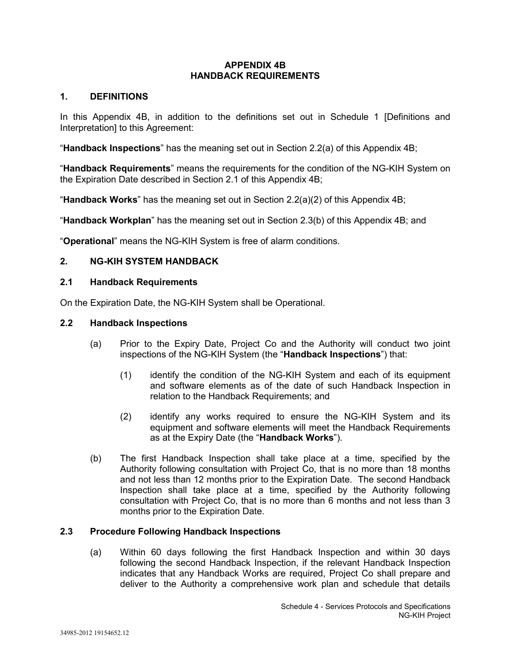## **APPENDIX 4B HANDBACK REQUIREMENTS**

## **1. DEFINITIONS**

In this Appendix 4B, in addition to the definitions set out in Schedule 1 [Definitions and Interpretation] to this Agreement:

"**Handback Inspections**" has the meaning set out in Section 2.2(a) of this Appendix 4B;

"**Handback Requirements**" means the requirements for the condition of the NG-KIH System on the Expiration Date described in Section 2.1 of this Appendix 4B;

"**Handback Works**" has the meaning set out in Section 2.2(a)(2) of this Appendix 4B;

"**Handback Workplan**" has the meaning set out in Section 2.3(b) of this Appendix 4B; and

"**Operational**" means the NG-KIH System is free of alarm conditions.

## **2. NG-KIH SYSTEM HANDBACK**

### **2.1 Handback Requirements**

On the Expiration Date, the NG-KIH System shall be Operational.

### **2.2 Handback Inspections**

- (a) Prior to the Expiry Date, Project Co and the Authority will conduct two joint inspections of the NG-KIH System (the "**Handback Inspections**") that:
	- (1) identify the condition of the NG-KIH System and each of its equipment and software elements as of the date of such Handback Inspection in relation to the Handback Requirements; and
	- (2) identify any works required to ensure the NG-KIH System and its equipment and software elements will meet the Handback Requirements as at the Expiry Date (the "**Handback Works**").
- (b) The first Handback Inspection shall take place at a time, specified by the Authority following consultation with Project Co, that is no more than 18 months and not less than 12 months prior to the Expiration Date. The second Handback Inspection shall take place at a time, specified by the Authority following consultation with Project Co, that is no more than 6 months and not less than 3 months prior to the Expiration Date.

#### **2.3 Procedure Following Handback Inspections**

(a) Within 60 days following the first Handback Inspection and within 30 days following the second Handback Inspection, if the relevant Handback Inspection indicates that any Handback Works are required, Project Co shall prepare and deliver to the Authority a comprehensive work plan and schedule that details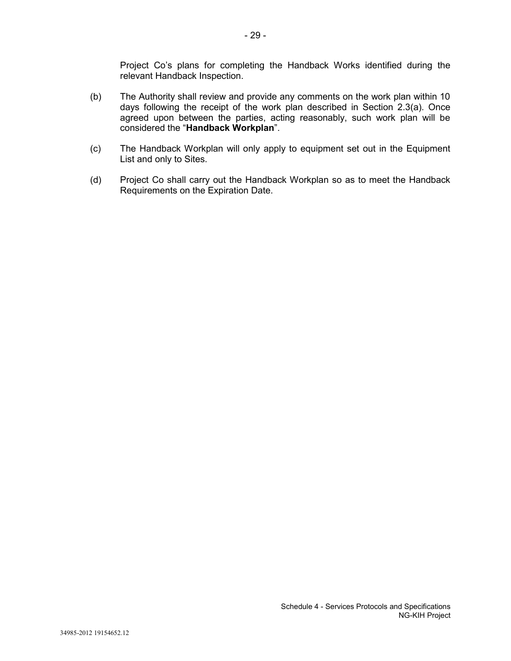Project Co's plans for completing the Handback Works identified during the relevant Handback Inspection.

- (b) The Authority shall review and provide any comments on the work plan within 10 days following the receipt of the work plan described in Section 2.3(a). Once agreed upon between the parties, acting reasonably, such work plan will be considered the "**Handback Workplan**".
- (c) The Handback Workplan will only apply to equipment set out in the Equipment List and only to Sites.
- (d) Project Co shall carry out the Handback Workplan so as to meet the Handback Requirements on the Expiration Date.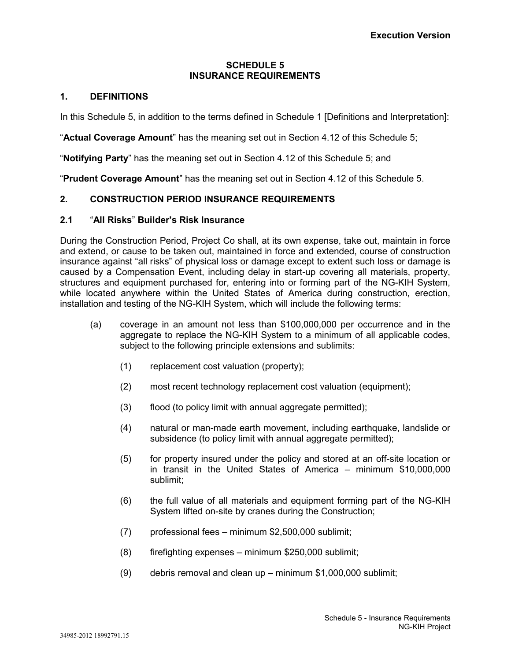## **SCHEDULE 5 INSURANCE REQUIREMENTS**

## **1. DEFINITIONS**

In this Schedule 5, in addition to the terms defined in Schedule 1 [Definitions and Interpretation]:

"**Actual Coverage Amount**" has the meaning set out in Section 4.12 of this Schedule 5;

"**Notifying Party**" has the meaning set out in Section 4.12 of this Schedule 5; and

"**Prudent Coverage Amount**" has the meaning set out in Section 4.12 of this Schedule 5.

# **2. CONSTRUCTION PERIOD INSURANCE REQUIREMENTS**

## **2.1** "**All Risks**" **Builder's Risk Insurance**

During the Construction Period, Project Co shall, at its own expense, take out, maintain in force and extend, or cause to be taken out, maintained in force and extended, course of construction insurance against "all risks" of physical loss or damage except to extent such loss or damage is caused by a Compensation Event, including delay in start-up covering all materials, property, structures and equipment purchased for, entering into or forming part of the NG-KIH System, while located anywhere within the United States of America during construction, erection, installation and testing of the NG-KIH System, which will include the following terms:

- (a) coverage in an amount not less than \$100,000,000 per occurrence and in the aggregate to replace the NG-KIH System to a minimum of all applicable codes, subject to the following principle extensions and sublimits:
	- (1) replacement cost valuation (property);
	- (2) most recent technology replacement cost valuation (equipment);
	- (3) flood (to policy limit with annual aggregate permitted);
	- (4) natural or man-made earth movement, including earthquake, landslide or subsidence (to policy limit with annual aggregate permitted);
	- (5) for property insured under the policy and stored at an off-site location or in transit in the United States of America – minimum \$10,000,000 sublimit;
	- (6) the full value of all materials and equipment forming part of the NG-KIH System lifted on-site by cranes during the Construction;
	- (7) professional fees minimum \$2,500,000 sublimit;
	- (8) firefighting expenses minimum \$250,000 sublimit;
	- (9) debris removal and clean up minimum \$1,000,000 sublimit;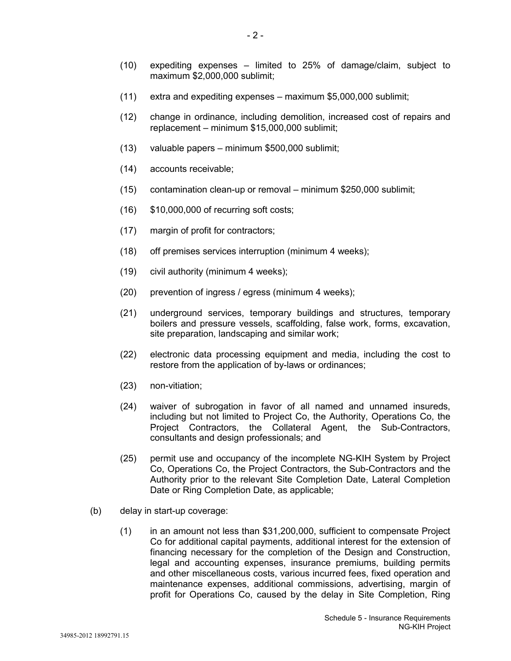- (11) extra and expediting expenses maximum \$5,000,000 sublimit;
- (12) change in ordinance, including demolition, increased cost of repairs and replacement – minimum \$15,000,000 sublimit;
- (13) valuable papers minimum \$500,000 sublimit;
- (14) accounts receivable;
- (15) contamination clean-up or removal minimum \$250,000 sublimit;
- (16) \$10,000,000 of recurring soft costs;
- (17) margin of profit for contractors;
- (18) off premises services interruption (minimum 4 weeks);
- (19) civil authority (minimum 4 weeks);
- (20) prevention of ingress / egress (minimum 4 weeks);
- (21) underground services, temporary buildings and structures, temporary boilers and pressure vessels, scaffolding, false work, forms, excavation, site preparation, landscaping and similar work;
- (22) electronic data processing equipment and media, including the cost to restore from the application of by-laws or ordinances;
- (23) non-vitiation;
- (24) waiver of subrogation in favor of all named and unnamed insureds, including but not limited to Project Co, the Authority, Operations Co, the Project Contractors, the Collateral Agent, the Sub-Contractors, consultants and design professionals; and
- (25) permit use and occupancy of the incomplete NG-KIH System by Project Co, Operations Co, the Project Contractors, the Sub-Contractors and the Authority prior to the relevant Site Completion Date, Lateral Completion Date or Ring Completion Date, as applicable;
- (b) delay in start-up coverage:
	- (1) in an amount not less than \$31,200,000, sufficient to compensate Project Co for additional capital payments, additional interest for the extension of financing necessary for the completion of the Design and Construction, legal and accounting expenses, insurance premiums, building permits and other miscellaneous costs, various incurred fees, fixed operation and maintenance expenses, additional commissions, advertising, margin of profit for Operations Co, caused by the delay in Site Completion, Ring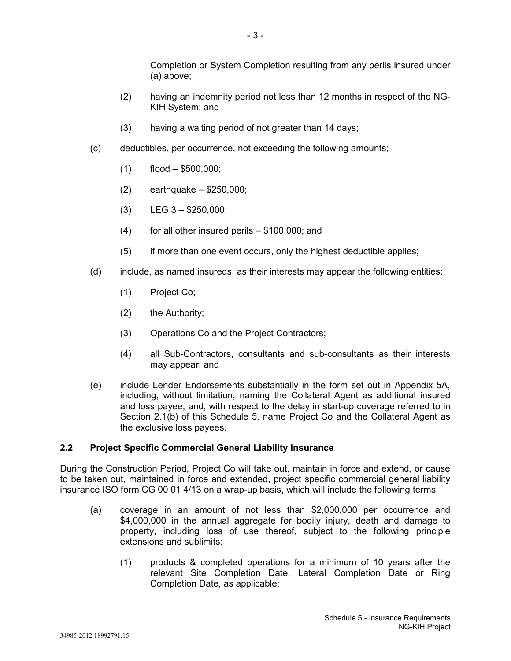Completion or System Completion resulting from any perils insured under (a) above;

- (2) having an indemnity period not less than 12 months in respect of the NG-KIH System; and
- (3) having a waiting period of not greater than 14 days;
- (c) deductibles, per occurrence, not exceeding the following amounts;
	- $(1)$  flood  $-$  \$500,000;
	- $(2)$  earthquake \$250,000;
	- $(B)$  LEG  $3 $250,000$ ;
	- (4) for all other insured perils \$100,000; and
	- (5) if more than one event occurs, only the highest deductible applies;
- (d) include, as named insureds, as their interests may appear the following entities:
	- (1) Project Co;
	- (2) the Authority;
	- (3) Operations Co and the Project Contractors;
	- (4) all Sub-Contractors, consultants and sub-consultants as their interests may appear; and
- (e) include Lender Endorsements substantially in the form set out in Appendix 5A, including, without limitation, naming the Collateral Agent as additional insured and loss payee, and, with respect to the delay in start-up coverage referred to in Section 2.1(b) of this Schedule 5, name Project Co and the Collateral Agent as the exclusive loss payees.

## **2.2 Project Specific Commercial General Liability Insurance**

During the Construction Period, Project Co will take out, maintain in force and extend, or cause to be taken out, maintained in force and extended, project specific commercial general liability insurance ISO form CG 00 01 4/13 on a wrap-up basis, which will include the following terms:

- (a) coverage in an amount of not less than \$2,000,000 per occurrence and \$4,000,000 in the annual aggregate for bodily injury, death and damage to property, including loss of use thereof, subject to the following principle extensions and sublimits:
	- (1) products & completed operations for a minimum of 10 years after the relevant Site Completion Date, Lateral Completion Date or Ring Completion Date, as applicable;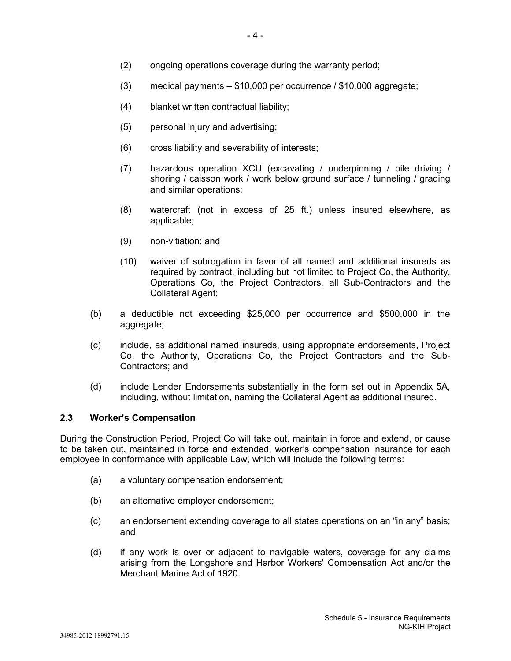- (2) ongoing operations coverage during the warranty period;
- (3) medical payments \$10,000 per occurrence / \$10,000 aggregate;
- (4) blanket written contractual liability;
- (5) personal injury and advertising;
- (6) cross liability and severability of interests;
- (7) hazardous operation XCU (excavating / underpinning / pile driving / shoring / caisson work / work below ground surface / tunneling / grading and similar operations;
- (8) watercraft (not in excess of 25 ft.) unless insured elsewhere, as applicable;
- (9) non-vitiation; and
- (10) waiver of subrogation in favor of all named and additional insureds as required by contract, including but not limited to Project Co, the Authority, Operations Co, the Project Contractors, all Sub-Contractors and the Collateral Agent;
- (b) a deductible not exceeding \$25,000 per occurrence and \$500,000 in the aggregate;
- (c) include, as additional named insureds, using appropriate endorsements, Project Co, the Authority, Operations Co, the Project Contractors and the Sub-Contractors; and
- (d) include Lender Endorsements substantially in the form set out in Appendix 5A, including, without limitation, naming the Collateral Agent as additional insured.

#### **2.3 Worker's Compensation**

During the Construction Period, Project Co will take out, maintain in force and extend, or cause to be taken out, maintained in force and extended, worker's compensation insurance for each employee in conformance with applicable Law, which will include the following terms:

- (a) a voluntary compensation endorsement;
- (b) an alternative employer endorsement;
- (c) an endorsement extending coverage to all states operations on an "in any" basis; and
- (d) if any work is over or adjacent to navigable waters, coverage for any claims arising from the Longshore and Harbor Workers' Compensation Act and/or the Merchant Marine Act of 1920.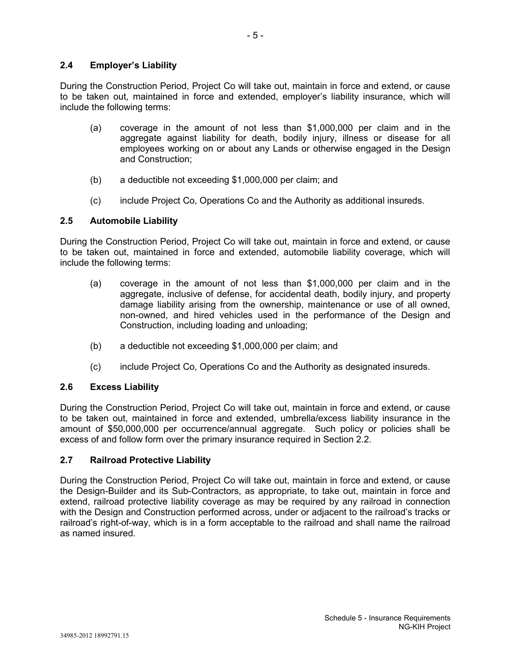## **2.4 Employer's Liability**

During the Construction Period, Project Co will take out, maintain in force and extend, or cause to be taken out, maintained in force and extended, employer's liability insurance, which will include the following terms:

- (a) coverage in the amount of not less than \$1,000,000 per claim and in the aggregate against liability for death, bodily injury, illness or disease for all employees working on or about any Lands or otherwise engaged in the Design and Construction;
- (b) a deductible not exceeding \$1,000,000 per claim; and
- (c) include Project Co, Operations Co and the Authority as additional insureds.

#### **2.5 Automobile Liability**

During the Construction Period, Project Co will take out, maintain in force and extend, or cause to be taken out, maintained in force and extended, automobile liability coverage, which will include the following terms:

- (a) coverage in the amount of not less than \$1,000,000 per claim and in the aggregate, inclusive of defense, for accidental death, bodily injury, and property damage liability arising from the ownership, maintenance or use of all owned, non-owned, and hired vehicles used in the performance of the Design and Construction, including loading and unloading;
- (b) a deductible not exceeding \$1,000,000 per claim; and
- (c) include Project Co, Operations Co and the Authority as designated insureds.

## **2.6 Excess Liability**

During the Construction Period, Project Co will take out, maintain in force and extend, or cause to be taken out, maintained in force and extended, umbrella/excess liability insurance in the amount of \$50,000,000 per occurrence/annual aggregate. Such policy or policies shall be excess of and follow form over the primary insurance required in Section 2.2.

## **2.7 Railroad Protective Liability**

During the Construction Period, Project Co will take out, maintain in force and extend, or cause the Design-Builder and its Sub-Contractors, as appropriate, to take out, maintain in force and extend, railroad protective liability coverage as may be required by any railroad in connection with the Design and Construction performed across, under or adjacent to the railroad's tracks or railroad's right-of-way, which is in a form acceptable to the railroad and shall name the railroad as named insured.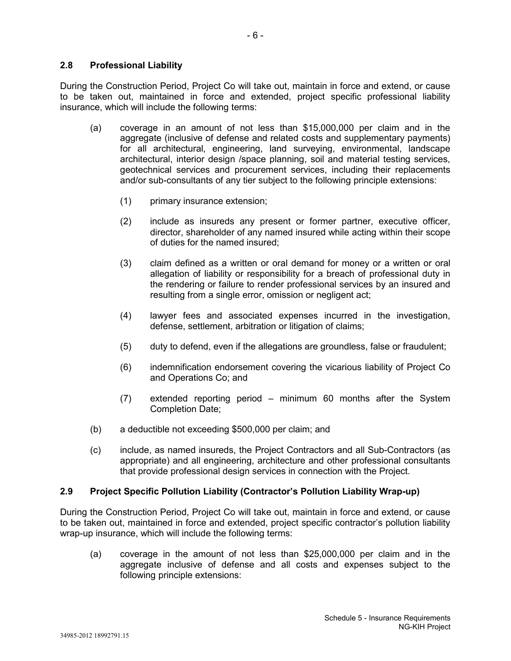During the Construction Period, Project Co will take out, maintain in force and extend, or cause to be taken out, maintained in force and extended, project specific professional liability insurance, which will include the following terms:

- (a) coverage in an amount of not less than \$15,000,000 per claim and in the aggregate (inclusive of defense and related costs and supplementary payments) for all architectural, engineering, land surveying, environmental, landscape architectural, interior design /space planning, soil and material testing services, geotechnical services and procurement services, including their replacements and/or sub-consultants of any tier subject to the following principle extensions:
	- (1) primary insurance extension;
	- (2) include as insureds any present or former partner, executive officer, director, shareholder of any named insured while acting within their scope of duties for the named insured;
	- (3) claim defined as a written or oral demand for money or a written or oral allegation of liability or responsibility for a breach of professional duty in the rendering or failure to render professional services by an insured and resulting from a single error, omission or negligent act;
	- (4) lawyer fees and associated expenses incurred in the investigation, defense, settlement, arbitration or litigation of claims;
	- (5) duty to defend, even if the allegations are groundless, false or fraudulent;
	- (6) indemnification endorsement covering the vicarious liability of Project Co and Operations Co; and
	- (7) extended reporting period minimum 60 months after the System Completion Date;
- (b) a deductible not exceeding \$500,000 per claim; and
- (c) include, as named insureds, the Project Contractors and all Sub-Contractors (as appropriate) and all engineering, architecture and other professional consultants that provide professional design services in connection with the Project.

## **2.9 Project Specific Pollution Liability (Contractor's Pollution Liability Wrap-up)**

During the Construction Period, Project Co will take out, maintain in force and extend, or cause to be taken out, maintained in force and extended, project specific contractor's pollution liability wrap-up insurance, which will include the following terms:

(a) coverage in the amount of not less than \$25,000,000 per claim and in the aggregate inclusive of defense and all costs and expenses subject to the following principle extensions: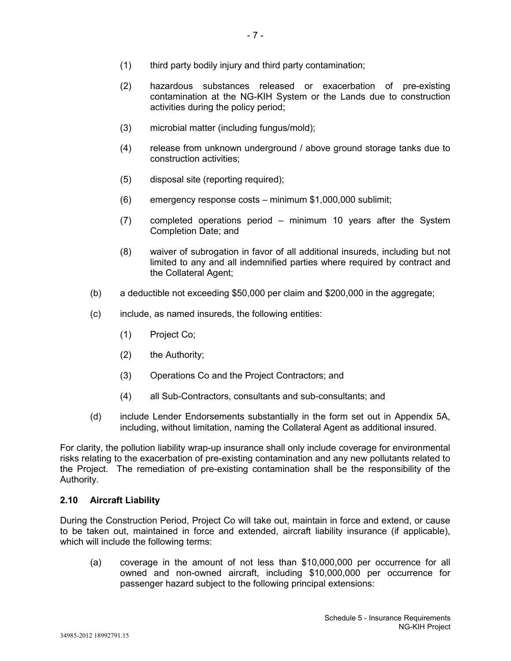- (1) third party bodily injury and third party contamination;
- (2) hazardous substances released or exacerbation of pre-existing contamination at the NG-KIH System or the Lands due to construction activities during the policy period;
- (3) microbial matter (including fungus/mold);
- (4) release from unknown underground / above ground storage tanks due to construction activities;
- (5) disposal site (reporting required);
- (6) emergency response costs minimum \$1,000,000 sublimit;
- (7) completed operations period minimum 10 years after the System Completion Date; and
- (8) waiver of subrogation in favor of all additional insureds, including but not limited to any and all indemnified parties where required by contract and the Collateral Agent;
- (b) a deductible not exceeding \$50,000 per claim and \$200,000 in the aggregate;
- (c) include, as named insureds, the following entities:
	- (1) Project Co;
	- (2) the Authority;
	- (3) Operations Co and the Project Contractors; and
	- (4) all Sub-Contractors, consultants and sub-consultants; and
- (d) include Lender Endorsements substantially in the form set out in Appendix 5A, including, without limitation, naming the Collateral Agent as additional insured.

For clarity, the pollution liability wrap-up insurance shall only include coverage for environmental risks relating to the exacerbation of pre-existing contamination and any new pollutants related to the Project. The remediation of pre-existing contamination shall be the responsibility of the Authority.

#### **2.10 Aircraft Liability**

During the Construction Period, Project Co will take out, maintain in force and extend, or cause to be taken out, maintained in force and extended, aircraft liability insurance (if applicable), which will include the following terms:

(a) coverage in the amount of not less than \$10,000,000 per occurrence for all owned and non-owned aircraft, including \$10,000,000 per occurrence for passenger hazard subject to the following principal extensions: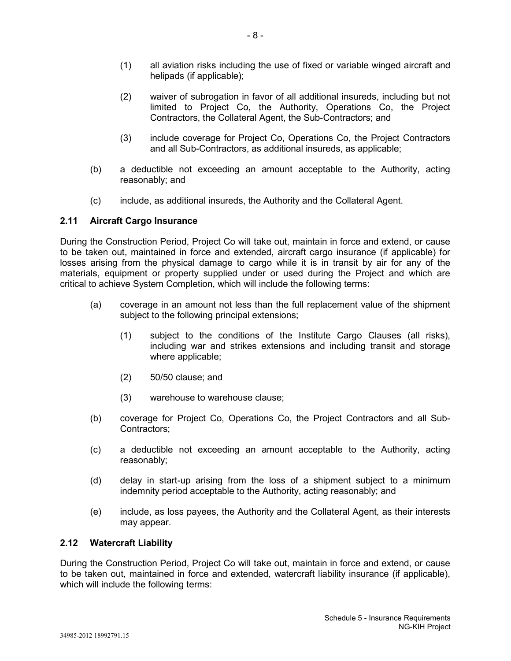- (1) all aviation risks including the use of fixed or variable winged aircraft and helipads (if applicable);
- (2) waiver of subrogation in favor of all additional insureds, including but not limited to Project Co, the Authority, Operations Co, the Project Contractors, the Collateral Agent, the Sub-Contractors; and
- (3) include coverage for Project Co, Operations Co, the Project Contractors and all Sub-Contractors, as additional insureds, as applicable;
- (b) a deductible not exceeding an amount acceptable to the Authority, acting reasonably; and
- (c) include, as additional insureds, the Authority and the Collateral Agent.

## **2.11 Aircraft Cargo Insurance**

During the Construction Period, Project Co will take out, maintain in force and extend, or cause to be taken out, maintained in force and extended, aircraft cargo insurance (if applicable) for losses arising from the physical damage to cargo while it is in transit by air for any of the materials, equipment or property supplied under or used during the Project and which are critical to achieve System Completion, which will include the following terms:

- (a) coverage in an amount not less than the full replacement value of the shipment subject to the following principal extensions;
	- (1) subject to the conditions of the Institute Cargo Clauses (all risks), including war and strikes extensions and including transit and storage where applicable;
	- (2) 50/50 clause; and
	- (3) warehouse to warehouse clause;
- (b) coverage for Project Co, Operations Co, the Project Contractors and all Sub-Contractors;
- (c) a deductible not exceeding an amount acceptable to the Authority, acting reasonably;
- (d) delay in start-up arising from the loss of a shipment subject to a minimum indemnity period acceptable to the Authority, acting reasonably; and
- (e) include, as loss payees, the Authority and the Collateral Agent, as their interests may appear.

## **2.12 Watercraft Liability**

During the Construction Period, Project Co will take out, maintain in force and extend, or cause to be taken out, maintained in force and extended, watercraft liability insurance (if applicable), which will include the following terms: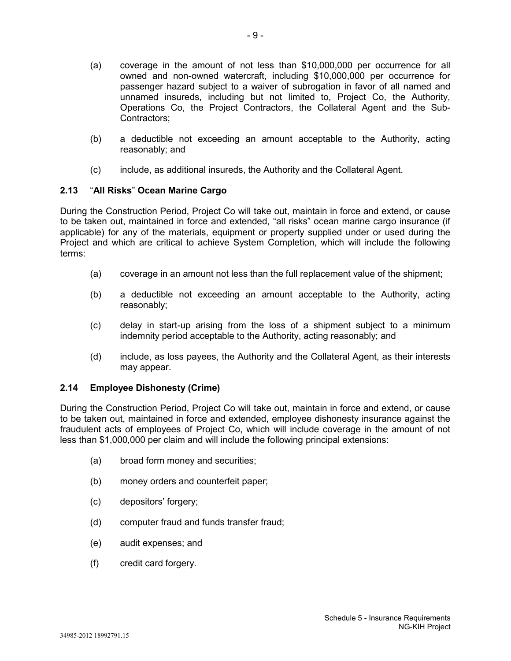- (a) coverage in the amount of not less than \$10,000,000 per occurrence for all owned and non-owned watercraft, including \$10,000,000 per occurrence for passenger hazard subject to a waiver of subrogation in favor of all named and unnamed insureds, including but not limited to, Project Co, the Authority, Operations Co, the Project Contractors, the Collateral Agent and the Sub-Contractors;
- (b) a deductible not exceeding an amount acceptable to the Authority, acting reasonably; and
- (c) include, as additional insureds, the Authority and the Collateral Agent.

## **2.13** "**All Risks**" **Ocean Marine Cargo**

During the Construction Period, Project Co will take out, maintain in force and extend, or cause to be taken out, maintained in force and extended, "all risks" ocean marine cargo insurance (if applicable) for any of the materials, equipment or property supplied under or used during the Project and which are critical to achieve System Completion, which will include the following terms:

- (a) coverage in an amount not less than the full replacement value of the shipment;
- (b) a deductible not exceeding an amount acceptable to the Authority, acting reasonably;
- (c) delay in start-up arising from the loss of a shipment subject to a minimum indemnity period acceptable to the Authority, acting reasonably; and
- (d) include, as loss payees, the Authority and the Collateral Agent, as their interests may appear.

## **2.14 Employee Dishonesty (Crime)**

During the Construction Period, Project Co will take out, maintain in force and extend, or cause to be taken out, maintained in force and extended, employee dishonesty insurance against the fraudulent acts of employees of Project Co, which will include coverage in the amount of not less than \$1,000,000 per claim and will include the following principal extensions:

- (a) broad form money and securities;
- (b) money orders and counterfeit paper;
- (c) depositors' forgery;
- (d) computer fraud and funds transfer fraud;
- (e) audit expenses; and
- (f) credit card forgery.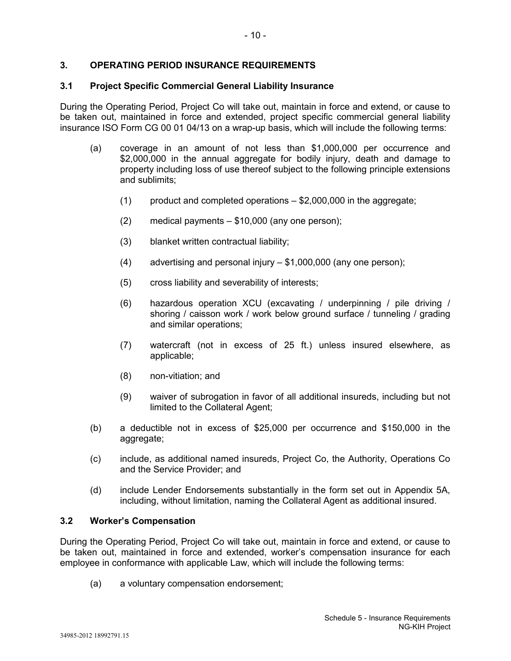## **3. OPERATING PERIOD INSURANCE REQUIREMENTS**

#### **3.1 Project Specific Commercial General Liability Insurance**

During the Operating Period, Project Co will take out, maintain in force and extend, or cause to be taken out, maintained in force and extended, project specific commercial general liability insurance ISO Form CG 00 01 04/13 on a wrap-up basis, which will include the following terms:

- (a) coverage in an amount of not less than \$1,000,000 per occurrence and \$2,000,000 in the annual aggregate for bodily injury, death and damage to property including loss of use thereof subject to the following principle extensions and sublimits;
	- $(1)$  product and completed operations  $-$  \$2,000,000 in the aggregate;
	- (2) medical payments \$10,000 (any one person);
	- (3) blanket written contractual liability;
	- (4) advertising and personal injury \$1,000,000 (any one person);
	- (5) cross liability and severability of interests;
	- (6) hazardous operation XCU (excavating / underpinning / pile driving / shoring / caisson work / work below ground surface / tunneling / grading and similar operations;
	- (7) watercraft (not in excess of 25 ft.) unless insured elsewhere, as applicable;
	- (8) non-vitiation; and
	- (9) waiver of subrogation in favor of all additional insureds, including but not limited to the Collateral Agent;
- (b) a deductible not in excess of \$25,000 per occurrence and \$150,000 in the aggregate;
- (c) include, as additional named insureds, Project Co, the Authority, Operations Co and the Service Provider; and
- (d) include Lender Endorsements substantially in the form set out in Appendix 5A, including, without limitation, naming the Collateral Agent as additional insured.

#### **3.2 Worker's Compensation**

During the Operating Period, Project Co will take out, maintain in force and extend, or cause to be taken out, maintained in force and extended, worker's compensation insurance for each employee in conformance with applicable Law, which will include the following terms:

(a) a voluntary compensation endorsement;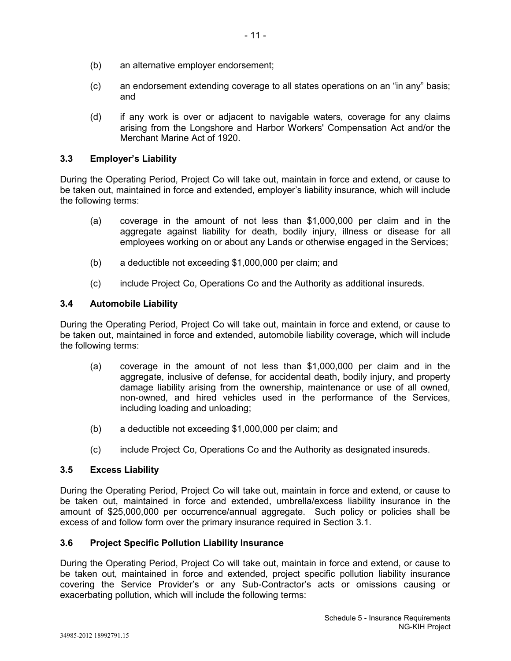- (b) an alternative employer endorsement;
- (c) an endorsement extending coverage to all states operations on an "in any" basis; and
- (d) if any work is over or adjacent to navigable waters, coverage for any claims arising from the Longshore and Harbor Workers' Compensation Act and/or the Merchant Marine Act of 1920.

## **3.3 Employer's Liability**

During the Operating Period, Project Co will take out, maintain in force and extend, or cause to be taken out, maintained in force and extended, employer's liability insurance, which will include the following terms:

- (a) coverage in the amount of not less than \$1,000,000 per claim and in the aggregate against liability for death, bodily injury, illness or disease for all employees working on or about any Lands or otherwise engaged in the Services;
- (b) a deductible not exceeding \$1,000,000 per claim; and
- (c) include Project Co, Operations Co and the Authority as additional insureds.

### **3.4 Automobile Liability**

During the Operating Period, Project Co will take out, maintain in force and extend, or cause to be taken out, maintained in force and extended, automobile liability coverage, which will include the following terms:

- (a) coverage in the amount of not less than \$1,000,000 per claim and in the aggregate, inclusive of defense, for accidental death, bodily injury, and property damage liability arising from the ownership, maintenance or use of all owned, non-owned, and hired vehicles used in the performance of the Services, including loading and unloading;
- (b) a deductible not exceeding \$1,000,000 per claim; and
- (c) include Project Co, Operations Co and the Authority as designated insureds.

#### **3.5 Excess Liability**

During the Operating Period, Project Co will take out, maintain in force and extend, or cause to be taken out, maintained in force and extended, umbrella/excess liability insurance in the amount of \$25,000,000 per occurrence/annual aggregate. Such policy or policies shall be excess of and follow form over the primary insurance required in Section 3.1.

#### **3.6 Project Specific Pollution Liability Insurance**

During the Operating Period, Project Co will take out, maintain in force and extend, or cause to be taken out, maintained in force and extended, project specific pollution liability insurance covering the Service Provider's or any Sub-Contractor's acts or omissions causing or exacerbating pollution, which will include the following terms: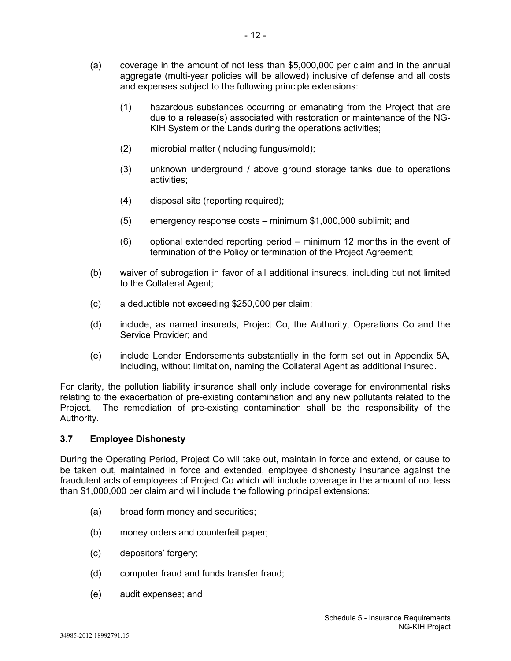- (1) hazardous substances occurring or emanating from the Project that are due to a release(s) associated with restoration or maintenance of the NG-KIH System or the Lands during the operations activities;
- (2) microbial matter (including fungus/mold);
- (3) unknown underground / above ground storage tanks due to operations activities;
- (4) disposal site (reporting required);
- (5) emergency response costs minimum \$1,000,000 sublimit; and
- (6) optional extended reporting period minimum 12 months in the event of termination of the Policy or termination of the Project Agreement;
- (b) waiver of subrogation in favor of all additional insureds, including but not limited to the Collateral Agent;
- (c) a deductible not exceeding \$250,000 per claim;
- (d) include, as named insureds, Project Co, the Authority, Operations Co and the Service Provider; and
- (e) include Lender Endorsements substantially in the form set out in Appendix 5A, including, without limitation, naming the Collateral Agent as additional insured.

For clarity, the pollution liability insurance shall only include coverage for environmental risks relating to the exacerbation of pre-existing contamination and any new pollutants related to the Project. The remediation of pre-existing contamination shall be the responsibility of the Authority.

## **3.7 Employee Dishonesty**

During the Operating Period, Project Co will take out, maintain in force and extend, or cause to be taken out, maintained in force and extended, employee dishonesty insurance against the fraudulent acts of employees of Project Co which will include coverage in the amount of not less than \$1,000,000 per claim and will include the following principal extensions:

- (a) broad form money and securities;
- (b) money orders and counterfeit paper;
- (c) depositors' forgery;
- (d) computer fraud and funds transfer fraud;
- (e) audit expenses; and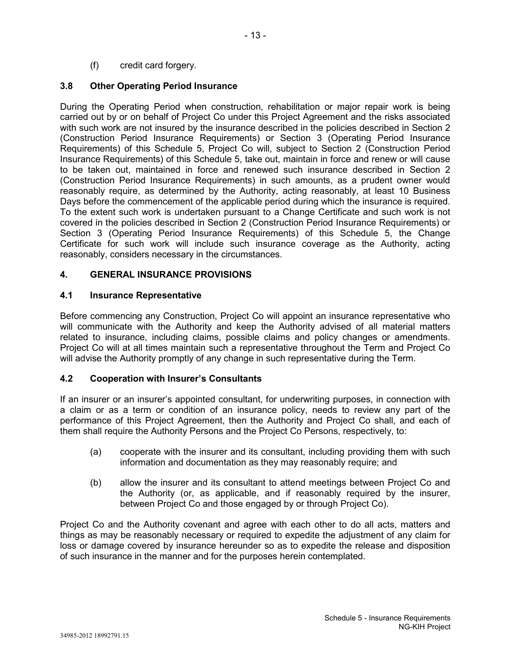(f) credit card forgery.

# **3.8 Other Operating Period Insurance**

During the Operating Period when construction, rehabilitation or major repair work is being carried out by or on behalf of Project Co under this Project Agreement and the risks associated with such work are not insured by the insurance described in the policies described in Section 2 (Construction Period Insurance Requirements) or Section 3 (Operating Period Insurance Requirements) of this Schedule 5, Project Co will, subject to Section 2 (Construction Period Insurance Requirements) of this Schedule 5, take out, maintain in force and renew or will cause to be taken out, maintained in force and renewed such insurance described in Section 2 (Construction Period Insurance Requirements) in such amounts, as a prudent owner would reasonably require, as determined by the Authority, acting reasonably, at least 10 Business Days before the commencement of the applicable period during which the insurance is required. To the extent such work is undertaken pursuant to a Change Certificate and such work is not covered in the policies described in Section 2 (Construction Period Insurance Requirements) or Section 3 (Operating Period Insurance Requirements) of this Schedule 5, the Change Certificate for such work will include such insurance coverage as the Authority, acting reasonably, considers necessary in the circumstances.

# **4. GENERAL INSURANCE PROVISIONS**

## **4.1 Insurance Representative**

Before commencing any Construction, Project Co will appoint an insurance representative who will communicate with the Authority and keep the Authority advised of all material matters related to insurance, including claims, possible claims and policy changes or amendments. Project Co will at all times maintain such a representative throughout the Term and Project Co will advise the Authority promptly of any change in such representative during the Term.

## **4.2 Cooperation with Insurer's Consultants**

If an insurer or an insurer's appointed consultant, for underwriting purposes, in connection with a claim or as a term or condition of an insurance policy, needs to review any part of the performance of this Project Agreement, then the Authority and Project Co shall, and each of them shall require the Authority Persons and the Project Co Persons, respectively, to:

- (a) cooperate with the insurer and its consultant, including providing them with such information and documentation as they may reasonably require; and
- (b) allow the insurer and its consultant to attend meetings between Project Co and the Authority (or, as applicable, and if reasonably required by the insurer, between Project Co and those engaged by or through Project Co).

Project Co and the Authority covenant and agree with each other to do all acts, matters and things as may be reasonably necessary or required to expedite the adjustment of any claim for loss or damage covered by insurance hereunder so as to expedite the release and disposition of such insurance in the manner and for the purposes herein contemplated.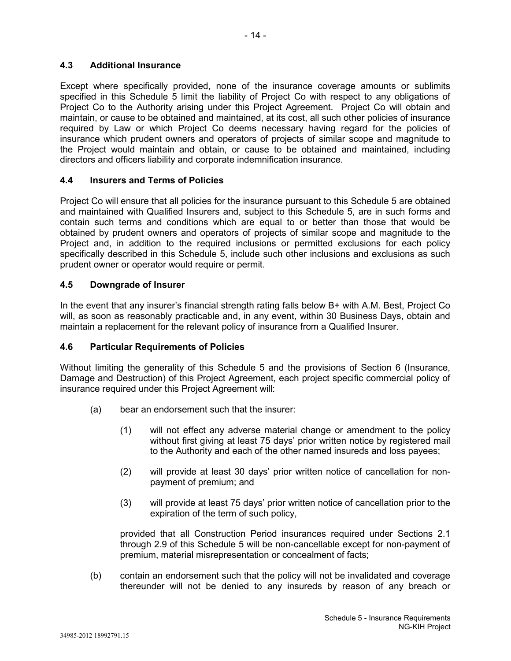## **4.3 Additional Insurance**

Except where specifically provided, none of the insurance coverage amounts or sublimits specified in this Schedule 5 limit the liability of Project Co with respect to any obligations of Project Co to the Authority arising under this Project Agreement. Project Co will obtain and maintain, or cause to be obtained and maintained, at its cost, all such other policies of insurance required by Law or which Project Co deems necessary having regard for the policies of insurance which prudent owners and operators of projects of similar scope and magnitude to the Project would maintain and obtain, or cause to be obtained and maintained, including directors and officers liability and corporate indemnification insurance.

## **4.4 Insurers and Terms of Policies**

Project Co will ensure that all policies for the insurance pursuant to this Schedule 5 are obtained and maintained with Qualified Insurers and, subject to this Schedule 5, are in such forms and contain such terms and conditions which are equal to or better than those that would be obtained by prudent owners and operators of projects of similar scope and magnitude to the Project and, in addition to the required inclusions or permitted exclusions for each policy specifically described in this Schedule 5, include such other inclusions and exclusions as such prudent owner or operator would require or permit.

## **4.5 Downgrade of Insurer**

In the event that any insurer's financial strength rating falls below B+ with A.M. Best, Project Co will, as soon as reasonably practicable and, in any event, within 30 Business Days, obtain and maintain a replacement for the relevant policy of insurance from a Qualified Insurer.

## **4.6 Particular Requirements of Policies**

Without limiting the generality of this Schedule 5 and the provisions of Section 6 (Insurance, Damage and Destruction) of this Project Agreement, each project specific commercial policy of insurance required under this Project Agreement will:

- (a) bear an endorsement such that the insurer:
	- (1) will not effect any adverse material change or amendment to the policy without first giving at least 75 days' prior written notice by registered mail to the Authority and each of the other named insureds and loss payees;
	- (2) will provide at least 30 days' prior written notice of cancellation for nonpayment of premium; and
	- (3) will provide at least 75 days' prior written notice of cancellation prior to the expiration of the term of such policy,

provided that all Construction Period insurances required under Sections 2.1 through 2.9 of this Schedule 5 will be non-cancellable except for non-payment of premium, material misrepresentation or concealment of facts;

(b) contain an endorsement such that the policy will not be invalidated and coverage thereunder will not be denied to any insureds by reason of any breach or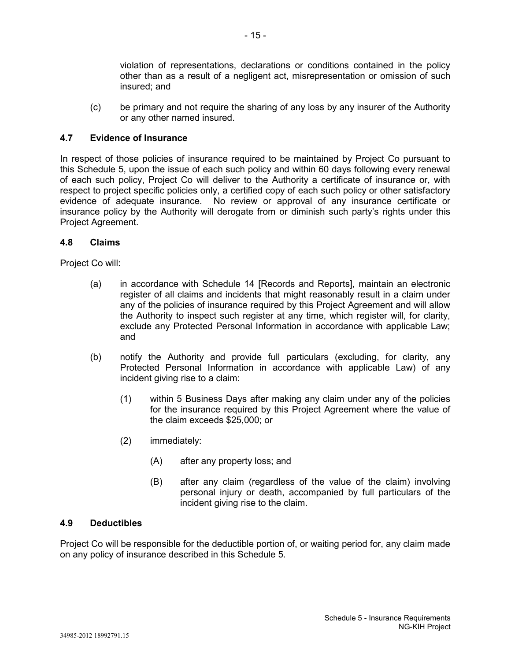violation of representations, declarations or conditions contained in the policy other than as a result of a negligent act, misrepresentation or omission of such insured; and

(c) be primary and not require the sharing of any loss by any insurer of the Authority or any other named insured.

## **4.7 Evidence of Insurance**

In respect of those policies of insurance required to be maintained by Project Co pursuant to this Schedule 5, upon the issue of each such policy and within 60 days following every renewal of each such policy, Project Co will deliver to the Authority a certificate of insurance or, with respect to project specific policies only, a certified copy of each such policy or other satisfactory evidence of adequate insurance. No review or approval of any insurance certificate or insurance policy by the Authority will derogate from or diminish such party's rights under this Project Agreement.

## **4.8 Claims**

Project Co will:

- (a) in accordance with Schedule 14 [Records and Reports], maintain an electronic register of all claims and incidents that might reasonably result in a claim under any of the policies of insurance required by this Project Agreement and will allow the Authority to inspect such register at any time, which register will, for clarity, exclude any Protected Personal Information in accordance with applicable Law; and
- (b) notify the Authority and provide full particulars (excluding, for clarity, any Protected Personal Information in accordance with applicable Law) of any incident giving rise to a claim:
	- (1) within 5 Business Days after making any claim under any of the policies for the insurance required by this Project Agreement where the value of the claim exceeds \$25,000; or
	- (2) immediately:
		- (A) after any property loss; and
		- (B) after any claim (regardless of the value of the claim) involving personal injury or death, accompanied by full particulars of the incident giving rise to the claim.

## **4.9 Deductibles**

Project Co will be responsible for the deductible portion of, or waiting period for, any claim made on any policy of insurance described in this Schedule 5.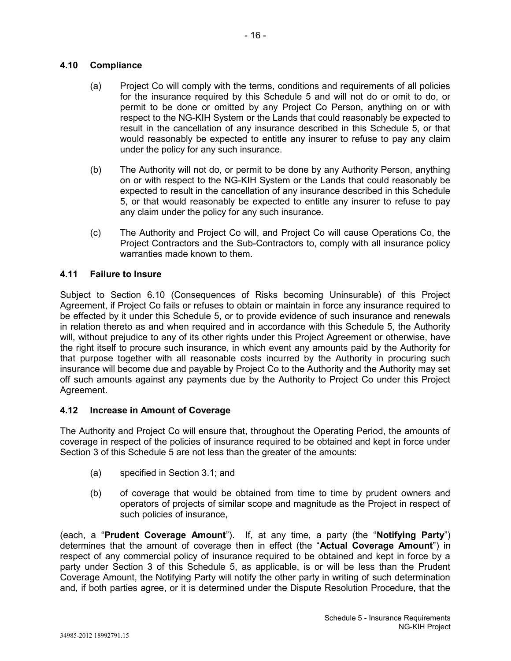## **4.10 Compliance**

- (a) Project Co will comply with the terms, conditions and requirements of all policies for the insurance required by this Schedule 5 and will not do or omit to do, or permit to be done or omitted by any Project Co Person, anything on or with respect to the NG-KIH System or the Lands that could reasonably be expected to result in the cancellation of any insurance described in this Schedule 5, or that would reasonably be expected to entitle any insurer to refuse to pay any claim under the policy for any such insurance.
- (b) The Authority will not do, or permit to be done by any Authority Person, anything on or with respect to the NG-KIH System or the Lands that could reasonably be expected to result in the cancellation of any insurance described in this Schedule 5, or that would reasonably be expected to entitle any insurer to refuse to pay any claim under the policy for any such insurance.
- (c) The Authority and Project Co will, and Project Co will cause Operations Co, the Project Contractors and the Sub-Contractors to, comply with all insurance policy warranties made known to them.

## **4.11 Failure to Insure**

Subject to Section 6.10 (Consequences of Risks becoming Uninsurable) of this Project Agreement, if Project Co fails or refuses to obtain or maintain in force any insurance required to be effected by it under this Schedule 5, or to provide evidence of such insurance and renewals in relation thereto as and when required and in accordance with this Schedule 5, the Authority will, without prejudice to any of its other rights under this Project Agreement or otherwise, have the right itself to procure such insurance, in which event any amounts paid by the Authority for that purpose together with all reasonable costs incurred by the Authority in procuring such insurance will become due and payable by Project Co to the Authority and the Authority may set off such amounts against any payments due by the Authority to Project Co under this Project Agreement.

#### **4.12 Increase in Amount of Coverage**

The Authority and Project Co will ensure that, throughout the Operating Period, the amounts of coverage in respect of the policies of insurance required to be obtained and kept in force under Section 3 of this Schedule 5 are not less than the greater of the amounts:

- (a) specified in Section 3.1; and
- (b) of coverage that would be obtained from time to time by prudent owners and operators of projects of similar scope and magnitude as the Project in respect of such policies of insurance,

(each, a "**Prudent Coverage Amount**"). If, at any time, a party (the "**Notifying Party**") determines that the amount of coverage then in effect (the "**Actual Coverage Amount**") in respect of any commercial policy of insurance required to be obtained and kept in force by a party under Section 3 of this Schedule 5, as applicable, is or will be less than the Prudent Coverage Amount, the Notifying Party will notify the other party in writing of such determination and, if both parties agree, or it is determined under the Dispute Resolution Procedure, that the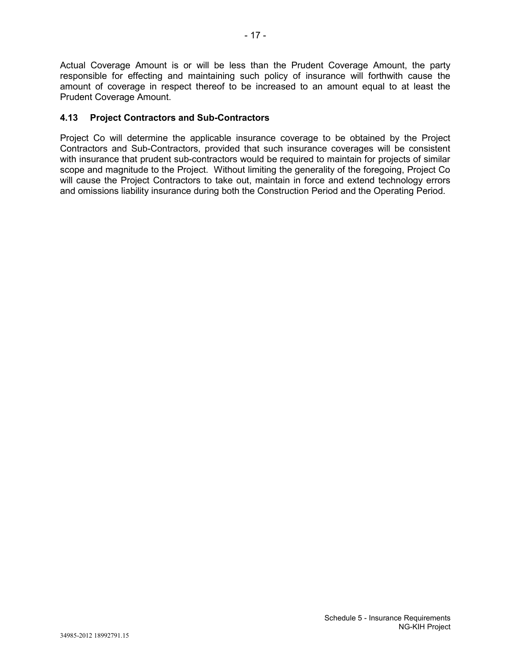## **4.13 Project Contractors and Sub-Contractors**

Project Co will determine the applicable insurance coverage to be obtained by the Project Contractors and Sub-Contractors, provided that such insurance coverages will be consistent with insurance that prudent sub-contractors would be required to maintain for projects of similar scope and magnitude to the Project. Without limiting the generality of the foregoing, Project Co will cause the Project Contractors to take out, maintain in force and extend technology errors and omissions liability insurance during both the Construction Period and the Operating Period.

Actual Coverage Amount is or will be less than the Prudent Coverage Amount, the party responsible for effecting and maintaining such policy of insurance will forthwith cause the amount of coverage in respect thereof to be increased to an amount equal to at least the Prudent Coverage Amount.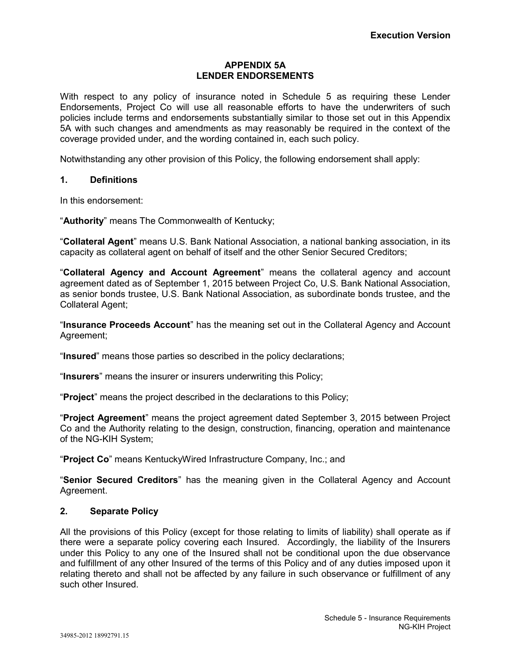## **APPENDIX 5A LENDER ENDORSEMENTS**

With respect to any policy of insurance noted in Schedule 5 as requiring these Lender Endorsements, Project Co will use all reasonable efforts to have the underwriters of such policies include terms and endorsements substantially similar to those set out in this Appendix 5A with such changes and amendments as may reasonably be required in the context of the coverage provided under, and the wording contained in, each such policy.

Notwithstanding any other provision of this Policy, the following endorsement shall apply:

## **1. Definitions**

In this endorsement:

"**Authority**" means The Commonwealth of Kentucky;

"**Collateral Agent**" means U.S. Bank National Association, a national banking association, in its capacity as collateral agent on behalf of itself and the other Senior Secured Creditors;

"**Collateral Agency and Account Agreement**" means the collateral agency and account agreement dated as of September 1, 2015 between Project Co, U.S. Bank National Association, as senior bonds trustee, U.S. Bank National Association, as subordinate bonds trustee, and the Collateral Agent;

"**Insurance Proceeds Account**" has the meaning set out in the Collateral Agency and Account Agreement;

"**Insured**" means those parties so described in the policy declarations;

"**Insurers**" means the insurer or insurers underwriting this Policy;

"**Project**" means the project described in the declarations to this Policy;

"**Project Agreement**" means the project agreement dated September 3, 2015 between Project Co and the Authority relating to the design, construction, financing, operation and maintenance of the NG-KIH System;

"**Project Co**" means KentuckyWired Infrastructure Company, Inc.; and

"**Senior Secured Creditors**" has the meaning given in the Collateral Agency and Account Agreement.

#### **2. Separate Policy**

All the provisions of this Policy (except for those relating to limits of liability) shall operate as if there were a separate policy covering each Insured. Accordingly, the liability of the Insurers under this Policy to any one of the Insured shall not be conditional upon the due observance and fulfillment of any other Insured of the terms of this Policy and of any duties imposed upon it relating thereto and shall not be affected by any failure in such observance or fulfillment of any such other Insured.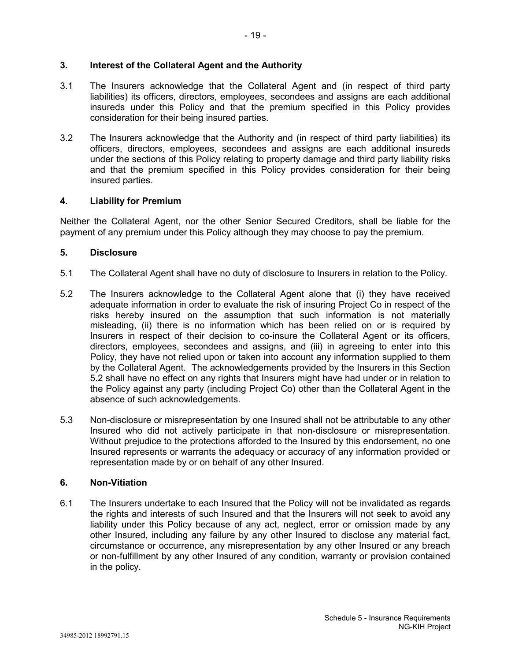#### **3. Interest of the Collateral Agent and the Authority**

- 3.1 The Insurers acknowledge that the Collateral Agent and (in respect of third party liabilities) its officers, directors, employees, secondees and assigns are each additional insureds under this Policy and that the premium specified in this Policy provides consideration for their being insured parties.
- 3.2 The Insurers acknowledge that the Authority and (in respect of third party liabilities) its officers, directors, employees, secondees and assigns are each additional insureds under the sections of this Policy relating to property damage and third party liability risks and that the premium specified in this Policy provides consideration for their being insured parties.

## **4. Liability for Premium**

Neither the Collateral Agent, nor the other Senior Secured Creditors, shall be liable for the payment of any premium under this Policy although they may choose to pay the premium.

## **5. Disclosure**

- 5.1 The Collateral Agent shall have no duty of disclosure to Insurers in relation to the Policy.
- 5.2 The Insurers acknowledge to the Collateral Agent alone that (i) they have received adequate information in order to evaluate the risk of insuring Project Co in respect of the risks hereby insured on the assumption that such information is not materially misleading, (ii) there is no information which has been relied on or is required by Insurers in respect of their decision to co-insure the Collateral Agent or its officers, directors, employees, secondees and assigns, and (iii) in agreeing to enter into this Policy, they have not relied upon or taken into account any information supplied to them by the Collateral Agent. The acknowledgements provided by the Insurers in this Section 5.2 shall have no effect on any rights that Insurers might have had under or in relation to the Policy against any party (including Project Co) other than the Collateral Agent in the absence of such acknowledgements.
- 5.3 Non-disclosure or misrepresentation by one Insured shall not be attributable to any other Insured who did not actively participate in that non-disclosure or misrepresentation. Without prejudice to the protections afforded to the Insured by this endorsement, no one Insured represents or warrants the adequacy or accuracy of any information provided or representation made by or on behalf of any other Insured.

## **6. Non-Vitiation**

6.1 The Insurers undertake to each Insured that the Policy will not be invalidated as regards the rights and interests of such Insured and that the Insurers will not seek to avoid any liability under this Policy because of any act, neglect, error or omission made by any other Insured, including any failure by any other Insured to disclose any material fact, circumstance or occurrence, any misrepresentation by any other Insured or any breach or non-fulfillment by any other Insured of any condition, warranty or provision contained in the policy.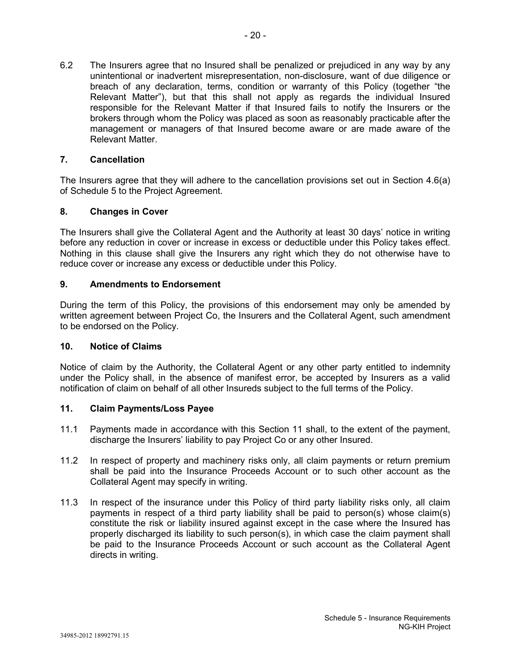6.2 The Insurers agree that no Insured shall be penalized or prejudiced in any way by any unintentional or inadvertent misrepresentation, non-disclosure, want of due diligence or breach of any declaration, terms, condition or warranty of this Policy (together "the Relevant Matter"), but that this shall not apply as regards the individual Insured responsible for the Relevant Matter if that Insured fails to notify the Insurers or the brokers through whom the Policy was placed as soon as reasonably practicable after the management or managers of that Insured become aware or are made aware of the Relevant Matter.

#### **7. Cancellation**

The Insurers agree that they will adhere to the cancellation provisions set out in Section 4.6(a) of Schedule 5 to the Project Agreement.

## **8. Changes in Cover**

The Insurers shall give the Collateral Agent and the Authority at least 30 days' notice in writing before any reduction in cover or increase in excess or deductible under this Policy takes effect. Nothing in this clause shall give the Insurers any right which they do not otherwise have to reduce cover or increase any excess or deductible under this Policy.

## **9. Amendments to Endorsement**

During the term of this Policy, the provisions of this endorsement may only be amended by written agreement between Project Co, the Insurers and the Collateral Agent, such amendment to be endorsed on the Policy.

#### **10. Notice of Claims**

Notice of claim by the Authority, the Collateral Agent or any other party entitled to indemnity under the Policy shall, in the absence of manifest error, be accepted by Insurers as a valid notification of claim on behalf of all other Insureds subject to the full terms of the Policy.

## **11. Claim Payments/Loss Payee**

- 11.1 Payments made in accordance with this Section 11 shall, to the extent of the payment, discharge the Insurers' liability to pay Project Co or any other Insured.
- 11.2 In respect of property and machinery risks only, all claim payments or return premium shall be paid into the Insurance Proceeds Account or to such other account as the Collateral Agent may specify in writing.
- 11.3 In respect of the insurance under this Policy of third party liability risks only, all claim payments in respect of a third party liability shall be paid to person(s) whose claim(s) constitute the risk or liability insured against except in the case where the Insured has properly discharged its liability to such person(s), in which case the claim payment shall be paid to the Insurance Proceeds Account or such account as the Collateral Agent directs in writing.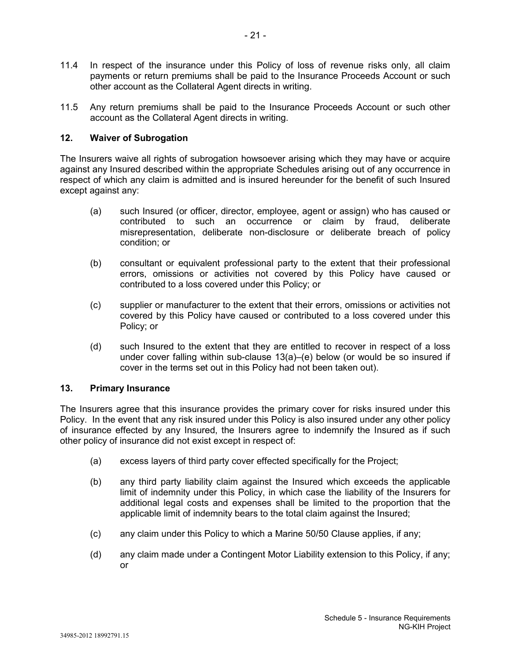- 11.4 In respect of the insurance under this Policy of loss of revenue risks only, all claim payments or return premiums shall be paid to the Insurance Proceeds Account or such other account as the Collateral Agent directs in writing.
- 11.5 Any return premiums shall be paid to the Insurance Proceeds Account or such other account as the Collateral Agent directs in writing.

## **12. Waiver of Subrogation**

The Insurers waive all rights of subrogation howsoever arising which they may have or acquire against any Insured described within the appropriate Schedules arising out of any occurrence in respect of which any claim is admitted and is insured hereunder for the benefit of such Insured except against any:

- (a) such Insured (or officer, director, employee, agent or assign) who has caused or contributed to such an occurrence or claim by fraud, deliberate misrepresentation, deliberate non-disclosure or deliberate breach of policy condition; or
- (b) consultant or equivalent professional party to the extent that their professional errors, omissions or activities not covered by this Policy have caused or contributed to a loss covered under this Policy; or
- (c) supplier or manufacturer to the extent that their errors, omissions or activities not covered by this Policy have caused or contributed to a loss covered under this Policy; or
- (d) such Insured to the extent that they are entitled to recover in respect of a loss under cover falling within sub-clause 13(a)–(e) below (or would be so insured if cover in the terms set out in this Policy had not been taken out).

#### **13. Primary Insurance**

The Insurers agree that this insurance provides the primary cover for risks insured under this Policy. In the event that any risk insured under this Policy is also insured under any other policy of insurance effected by any Insured, the Insurers agree to indemnify the Insured as if such other policy of insurance did not exist except in respect of:

- (a) excess layers of third party cover effected specifically for the Project;
- (b) any third party liability claim against the Insured which exceeds the applicable limit of indemnity under this Policy, in which case the liability of the Insurers for additional legal costs and expenses shall be limited to the proportion that the applicable limit of indemnity bears to the total claim against the Insured;
- (c) any claim under this Policy to which a Marine 50/50 Clause applies, if any;
- (d) any claim made under a Contingent Motor Liability extension to this Policy, if any; or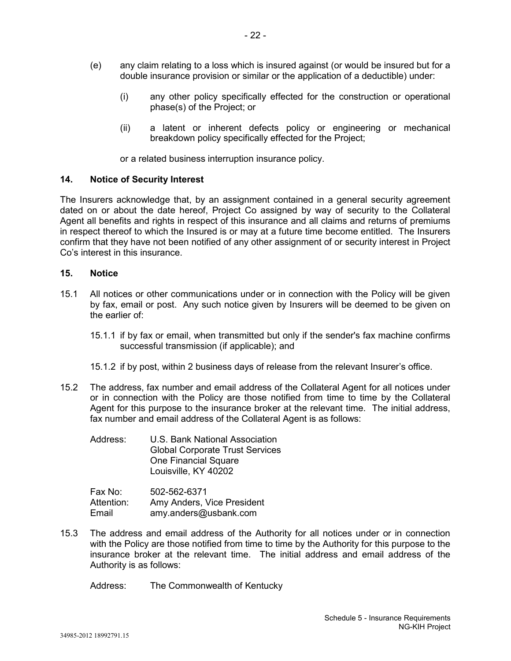- (e) any claim relating to a loss which is insured against (or would be insured but for a double insurance provision or similar or the application of a deductible) under:
	- (i) any other policy specifically effected for the construction or operational phase(s) of the Project; or
	- (ii) a latent or inherent defects policy or engineering or mechanical breakdown policy specifically effected for the Project;

or a related business interruption insurance policy.

## **14. Notice of Security Interest**

The Insurers acknowledge that, by an assignment contained in a general security agreement dated on or about the date hereof, Project Co assigned by way of security to the Collateral Agent all benefits and rights in respect of this insurance and all claims and returns of premiums in respect thereof to which the Insured is or may at a future time become entitled. The Insurers confirm that they have not been notified of any other assignment of or security interest in Project Co's interest in this insurance.

## **15. Notice**

- 15.1 All notices or other communications under or in connection with the Policy will be given by fax, email or post. Any such notice given by Insurers will be deemed to be given on the earlier of:
	- 15.1.1 if by fax or email, when transmitted but only if the sender's fax machine confirms successful transmission (if applicable); and
	- 15.1.2 if by post, within 2 business days of release from the relevant Insurer's office.
- 15.2 The address, fax number and email address of the Collateral Agent for all notices under or in connection with the Policy are those notified from time to time by the Collateral Agent for this purpose to the insurance broker at the relevant time. The initial address, fax number and email address of the Collateral Agent is as follows:
	- Address: U.S. Bank National Association Global Corporate Trust Services One Financial Square Louisville, KY 40202

| Fax No:    | 502-562-6371               |
|------------|----------------------------|
| Attention: | Amy Anders, Vice President |
| Email      | amy.anders@usbank.com      |

15.3 The address and email address of the Authority for all notices under or in connection with the Policy are those notified from time to time by the Authority for this purpose to the insurance broker at the relevant time. The initial address and email address of the Authority is as follows:

Address: The Commonwealth of Kentucky